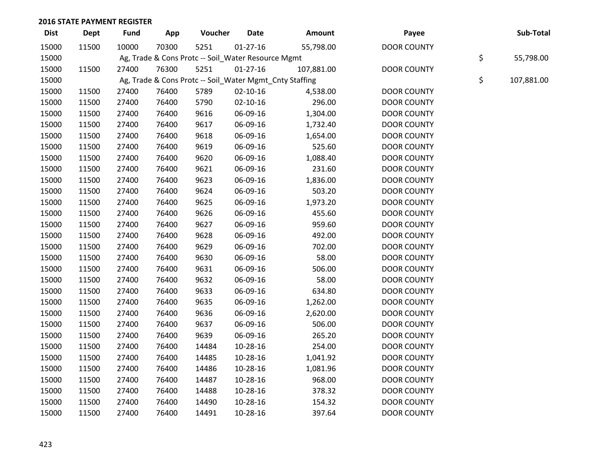| <b>Dist</b> | <b>Dept</b> | <b>Fund</b> | App   | Voucher                                                 | Date           | Amount     | Payee              | Sub-Total        |
|-------------|-------------|-------------|-------|---------------------------------------------------------|----------------|------------|--------------------|------------------|
| 15000       | 11500       | 10000       | 70300 | 5251                                                    | $01-27-16$     | 55,798.00  | <b>DOOR COUNTY</b> |                  |
| 15000       |             |             |       | Ag, Trade & Cons Protc -- Soil_Water Resource Mgmt      |                |            |                    | \$<br>55,798.00  |
| 15000       | 11500       | 27400       | 76300 | 5251                                                    | $01-27-16$     | 107,881.00 | <b>DOOR COUNTY</b> |                  |
| 15000       |             |             |       | Ag, Trade & Cons Protc -- Soil_Water Mgmt_Cnty Staffing |                |            |                    | \$<br>107,881.00 |
| 15000       | 11500       | 27400       | 76400 | 5789                                                    | $02 - 10 - 16$ | 4,538.00   | <b>DOOR COUNTY</b> |                  |
| 15000       | 11500       | 27400       | 76400 | 5790                                                    | $02 - 10 - 16$ | 296.00     | <b>DOOR COUNTY</b> |                  |
| 15000       | 11500       | 27400       | 76400 | 9616                                                    | 06-09-16       | 1,304.00   | <b>DOOR COUNTY</b> |                  |
| 15000       | 11500       | 27400       | 76400 | 9617                                                    | 06-09-16       | 1,732.40   | <b>DOOR COUNTY</b> |                  |
| 15000       | 11500       | 27400       | 76400 | 9618                                                    | 06-09-16       | 1,654.00   | <b>DOOR COUNTY</b> |                  |
| 15000       | 11500       | 27400       | 76400 | 9619                                                    | 06-09-16       | 525.60     | <b>DOOR COUNTY</b> |                  |
| 15000       | 11500       | 27400       | 76400 | 9620                                                    | 06-09-16       | 1,088.40   | <b>DOOR COUNTY</b> |                  |
| 15000       | 11500       | 27400       | 76400 | 9621                                                    | 06-09-16       | 231.60     | <b>DOOR COUNTY</b> |                  |
| 15000       | 11500       | 27400       | 76400 | 9623                                                    | 06-09-16       | 1,836.00   | <b>DOOR COUNTY</b> |                  |
| 15000       | 11500       | 27400       | 76400 | 9624                                                    | 06-09-16       | 503.20     | <b>DOOR COUNTY</b> |                  |
| 15000       | 11500       | 27400       | 76400 | 9625                                                    | 06-09-16       | 1,973.20   | <b>DOOR COUNTY</b> |                  |
| 15000       | 11500       | 27400       | 76400 | 9626                                                    | 06-09-16       | 455.60     | <b>DOOR COUNTY</b> |                  |
| 15000       | 11500       | 27400       | 76400 | 9627                                                    | 06-09-16       | 959.60     | <b>DOOR COUNTY</b> |                  |
| 15000       | 11500       | 27400       | 76400 | 9628                                                    | 06-09-16       | 492.00     | <b>DOOR COUNTY</b> |                  |
| 15000       | 11500       | 27400       | 76400 | 9629                                                    | 06-09-16       | 702.00     | <b>DOOR COUNTY</b> |                  |
| 15000       | 11500       | 27400       | 76400 | 9630                                                    | 06-09-16       | 58.00      | <b>DOOR COUNTY</b> |                  |
| 15000       | 11500       | 27400       | 76400 | 9631                                                    | 06-09-16       | 506.00     | <b>DOOR COUNTY</b> |                  |
| 15000       | 11500       | 27400       | 76400 | 9632                                                    | 06-09-16       | 58.00      | <b>DOOR COUNTY</b> |                  |
| 15000       | 11500       | 27400       | 76400 | 9633                                                    | 06-09-16       | 634.80     | <b>DOOR COUNTY</b> |                  |
| 15000       | 11500       | 27400       | 76400 | 9635                                                    | 06-09-16       | 1,262.00   | <b>DOOR COUNTY</b> |                  |
| 15000       | 11500       | 27400       | 76400 | 9636                                                    | 06-09-16       | 2,620.00   | <b>DOOR COUNTY</b> |                  |
| 15000       | 11500       | 27400       | 76400 | 9637                                                    | 06-09-16       | 506.00     | <b>DOOR COUNTY</b> |                  |
| 15000       | 11500       | 27400       | 76400 | 9639                                                    | 06-09-16       | 265.20     | <b>DOOR COUNTY</b> |                  |
| 15000       | 11500       | 27400       | 76400 | 14484                                                   | 10-28-16       | 254.00     | <b>DOOR COUNTY</b> |                  |
| 15000       | 11500       | 27400       | 76400 | 14485                                                   | 10-28-16       | 1,041.92   | <b>DOOR COUNTY</b> |                  |
| 15000       | 11500       | 27400       | 76400 | 14486                                                   | 10-28-16       | 1,081.96   | <b>DOOR COUNTY</b> |                  |
| 15000       | 11500       | 27400       | 76400 | 14487                                                   | 10-28-16       | 968.00     | <b>DOOR COUNTY</b> |                  |
| 15000       | 11500       | 27400       | 76400 | 14488                                                   | 10-28-16       | 378.32     | <b>DOOR COUNTY</b> |                  |
| 15000       | 11500       | 27400       | 76400 | 14490                                                   | 10-28-16       | 154.32     | <b>DOOR COUNTY</b> |                  |
| 15000       | 11500       | 27400       | 76400 | 14491                                                   | 10-28-16       | 397.64     | <b>DOOR COUNTY</b> |                  |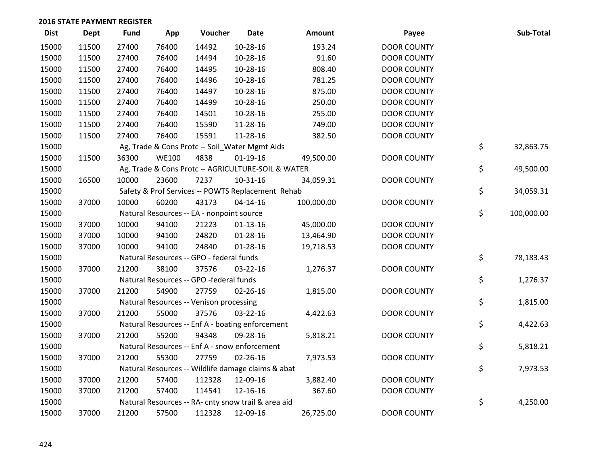| <b>Dist</b> | <b>Dept</b> | <b>Fund</b> | App          | Voucher                                             | <b>Date</b>    | Amount     | Payee              | Sub-Total        |
|-------------|-------------|-------------|--------------|-----------------------------------------------------|----------------|------------|--------------------|------------------|
| 15000       | 11500       | 27400       | 76400        | 14492                                               | 10-28-16       | 193.24     | <b>DOOR COUNTY</b> |                  |
| 15000       | 11500       | 27400       | 76400        | 14494                                               | 10-28-16       | 91.60      | <b>DOOR COUNTY</b> |                  |
| 15000       | 11500       | 27400       | 76400        | 14495                                               | 10-28-16       | 808.40     | <b>DOOR COUNTY</b> |                  |
| 15000       | 11500       | 27400       | 76400        | 14496                                               | 10-28-16       | 781.25     | <b>DOOR COUNTY</b> |                  |
| 15000       | 11500       | 27400       | 76400        | 14497                                               | 10-28-16       | 875.00     | <b>DOOR COUNTY</b> |                  |
| 15000       | 11500       | 27400       | 76400        | 14499                                               | 10-28-16       | 250.00     | <b>DOOR COUNTY</b> |                  |
| 15000       | 11500       | 27400       | 76400        | 14501                                               | 10-28-16       | 255.00     | <b>DOOR COUNTY</b> |                  |
| 15000       | 11500       | 27400       | 76400        | 15590                                               | 11-28-16       | 749.00     | <b>DOOR COUNTY</b> |                  |
| 15000       | 11500       | 27400       | 76400        | 15591                                               | 11-28-16       | 382.50     | <b>DOOR COUNTY</b> |                  |
| 15000       |             |             |              | Ag, Trade & Cons Protc -- Soil_Water Mgmt Aids      |                |            |                    | \$<br>32,863.75  |
| 15000       | 11500       | 36300       | <b>WE100</b> | 4838                                                | $01-19-16$     | 49,500.00  | <b>DOOR COUNTY</b> |                  |
| 15000       |             |             |              | Ag, Trade & Cons Protc -- AGRICULTURE-SOIL & WATER  |                |            |                    | \$<br>49,500.00  |
| 15000       | 16500       | 10000       | 23600        | 7237                                                | $10-31-16$     | 34,059.31  | <b>DOOR COUNTY</b> |                  |
| 15000       |             |             |              | Safety & Prof Services -- POWTS Replacement Rehab   |                |            |                    | \$<br>34,059.31  |
| 15000       | 37000       | 10000       | 60200        | 43173                                               | $04 - 14 - 16$ | 100,000.00 | <b>DOOR COUNTY</b> |                  |
| 15000       |             |             |              | Natural Resources -- EA - nonpoint source           |                |            |                    | \$<br>100,000.00 |
| 15000       | 37000       | 10000       | 94100        | 21223                                               | $01-13-16$     | 45,000.00  | <b>DOOR COUNTY</b> |                  |
| 15000       | 37000       | 10000       | 94100        | 24820                                               | 01-28-16       | 13,464.90  | <b>DOOR COUNTY</b> |                  |
| 15000       | 37000       | 10000       | 94100        | 24840                                               | $01 - 28 - 16$ | 19,718.53  | <b>DOOR COUNTY</b> |                  |
| 15000       |             |             |              | Natural Resources -- GPO - federal funds            |                |            |                    | \$<br>78,183.43  |
| 15000       | 37000       | 21200       | 38100        | 37576                                               | 03-22-16       | 1,276.37   | <b>DOOR COUNTY</b> |                  |
| 15000       |             |             |              | Natural Resources -- GPO -federal funds             |                |            |                    | \$<br>1,276.37   |
| 15000       | 37000       | 21200       | 54900        | 27759                                               | $02 - 26 - 16$ | 1,815.00   | <b>DOOR COUNTY</b> |                  |
| 15000       |             |             |              | Natural Resources -- Venison processing             |                |            |                    | \$<br>1,815.00   |
| 15000       | 37000       | 21200       | 55000        | 37576                                               | 03-22-16       | 4,422.63   | <b>DOOR COUNTY</b> |                  |
| 15000       |             |             |              | Natural Resources -- Enf A - boating enforcement    |                |            |                    | \$<br>4,422.63   |
| 15000       | 37000       | 21200       | 55200        | 94348                                               | 09-28-16       | 5,818.21   | <b>DOOR COUNTY</b> |                  |
| 15000       |             |             |              | Natural Resources -- Enf A - snow enforcement       |                |            |                    | \$<br>5,818.21   |
| 15000       | 37000       | 21200       | 55300        | 27759                                               | $02 - 26 - 16$ | 7,973.53   | <b>DOOR COUNTY</b> |                  |
| 15000       |             |             |              | Natural Resources -- Wildlife damage claims & abat  |                |            |                    | \$<br>7,973.53   |
| 15000       | 37000       | 21200       | 57400        | 112328                                              | 12-09-16       | 3,882.40   | <b>DOOR COUNTY</b> |                  |
| 15000       | 37000       | 21200       | 57400        | 114541                                              | 12-16-16       | 367.60     | <b>DOOR COUNTY</b> |                  |
| 15000       |             |             |              | Natural Resources -- RA- cnty snow trail & area aid |                |            |                    | \$<br>4,250.00   |
| 15000       | 37000       | 21200       | 57500        | 112328                                              | 12-09-16       | 26,725.00  | <b>DOOR COUNTY</b> |                  |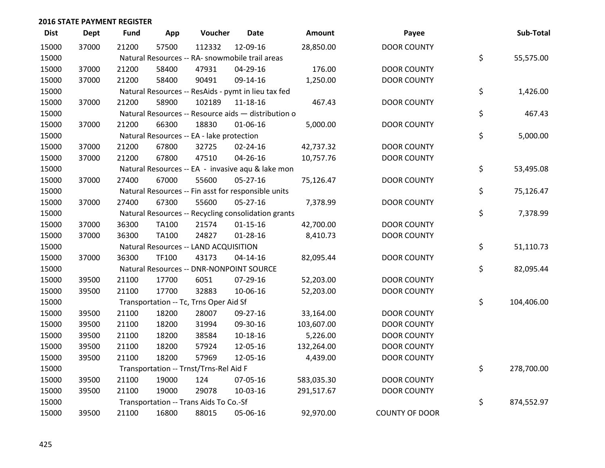| <b>Dist</b> | <b>Dept</b> | <b>Fund</b> | App          | Voucher                                             | <b>Date</b>    | <b>Amount</b> | Payee                 | Sub-Total        |
|-------------|-------------|-------------|--------------|-----------------------------------------------------|----------------|---------------|-----------------------|------------------|
| 15000       | 37000       | 21200       | 57500        | 112332                                              | 12-09-16       | 28,850.00     | <b>DOOR COUNTY</b>    |                  |
| 15000       |             |             |              | Natural Resources -- RA- snowmobile trail areas     |                |               |                       | \$<br>55,575.00  |
| 15000       | 37000       | 21200       | 58400        | 47931                                               | 04-29-16       | 176.00        | <b>DOOR COUNTY</b>    |                  |
| 15000       | 37000       | 21200       | 58400        | 90491                                               | 09-14-16       | 1,250.00      | <b>DOOR COUNTY</b>    |                  |
| 15000       |             |             |              | Natural Resources -- ResAids - pymt in lieu tax fed |                |               |                       | \$<br>1,426.00   |
| 15000       | 37000       | 21200       | 58900        | 102189                                              | $11 - 18 - 16$ | 467.43        | <b>DOOR COUNTY</b>    |                  |
| 15000       |             |             |              | Natural Resources -- Resource aids - distribution o |                |               |                       | \$<br>467.43     |
| 15000       | 37000       | 21200       | 66300        | 18830                                               | 01-06-16       | 5,000.00      | <b>DOOR COUNTY</b>    |                  |
| 15000       |             |             |              | Natural Resources -- EA - lake protection           |                |               |                       | \$<br>5,000.00   |
| 15000       | 37000       | 21200       | 67800        | 32725                                               | $02 - 24 - 16$ | 42,737.32     | <b>DOOR COUNTY</b>    |                  |
| 15000       | 37000       | 21200       | 67800        | 47510                                               | 04-26-16       | 10,757.76     | <b>DOOR COUNTY</b>    |                  |
| 15000       |             |             |              | Natural Resources -- EA - invasive aqu & lake mon   |                |               |                       | \$<br>53,495.08  |
| 15000       | 37000       | 27400       | 67000        | 55600                                               | 05-27-16       | 75,126.47     | <b>DOOR COUNTY</b>    |                  |
| 15000       |             |             |              | Natural Resources -- Fin asst for responsible units |                |               |                       | \$<br>75,126.47  |
| 15000       | 37000       | 27400       | 67300        | 55600                                               | $05 - 27 - 16$ | 7,378.99      | <b>DOOR COUNTY</b>    |                  |
| 15000       |             |             |              | Natural Resources -- Recycling consolidation grants |                |               |                       | \$<br>7,378.99   |
| 15000       | 37000       | 36300       | TA100        | 21574                                               | $01 - 15 - 16$ | 42,700.00     | <b>DOOR COUNTY</b>    |                  |
| 15000       | 37000       | 36300       | <b>TA100</b> | 24827                                               | $01 - 28 - 16$ | 8,410.73      | <b>DOOR COUNTY</b>    |                  |
| 15000       |             |             |              | Natural Resources -- LAND ACQUISITION               |                |               |                       | \$<br>51,110.73  |
| 15000       | 37000       | 36300       | TF100        | 43173                                               | $04 - 14 - 16$ | 82,095.44     | <b>DOOR COUNTY</b>    |                  |
| 15000       |             |             |              | Natural Resources -- DNR-NONPOINT SOURCE            |                |               |                       | \$<br>82,095.44  |
| 15000       | 39500       | 21100       | 17700        | 6051                                                | 07-29-16       | 52,203.00     | <b>DOOR COUNTY</b>    |                  |
| 15000       | 39500       | 21100       | 17700        | 32883                                               | 10-06-16       | 52,203.00     | <b>DOOR COUNTY</b>    |                  |
| 15000       |             |             |              | Transportation -- Tc, Trns Oper Aid Sf              |                |               |                       | \$<br>104,406.00 |
| 15000       | 39500       | 21100       | 18200        | 28007                                               | 09-27-16       | 33,164.00     | <b>DOOR COUNTY</b>    |                  |
| 15000       | 39500       | 21100       | 18200        | 31994                                               | 09-30-16       | 103,607.00    | <b>DOOR COUNTY</b>    |                  |
| 15000       | 39500       | 21100       | 18200        | 38584                                               | 10-18-16       | 5,226.00      | <b>DOOR COUNTY</b>    |                  |
| 15000       | 39500       | 21100       | 18200        | 57924                                               | 12-05-16       | 132,264.00    | <b>DOOR COUNTY</b>    |                  |
| 15000       | 39500       | 21100       | 18200        | 57969                                               | 12-05-16       | 4,439.00      | <b>DOOR COUNTY</b>    |                  |
| 15000       |             |             |              | Transportation -- Trnst/Trns-Rel Aid F              |                |               |                       | \$<br>278,700.00 |
| 15000       | 39500       | 21100       | 19000        | 124                                                 | 07-05-16       | 583,035.30    | <b>DOOR COUNTY</b>    |                  |
| 15000       | 39500       | 21100       | 19000        | 29078                                               | 10-03-16       | 291,517.67    | <b>DOOR COUNTY</b>    |                  |
| 15000       |             |             |              | Transportation -- Trans Aids To Co.-Sf              |                |               |                       | \$<br>874,552.97 |
| 15000       | 39500       | 21100       | 16800        | 88015                                               | 05-06-16       | 92,970.00     | <b>COUNTY OF DOOR</b> |                  |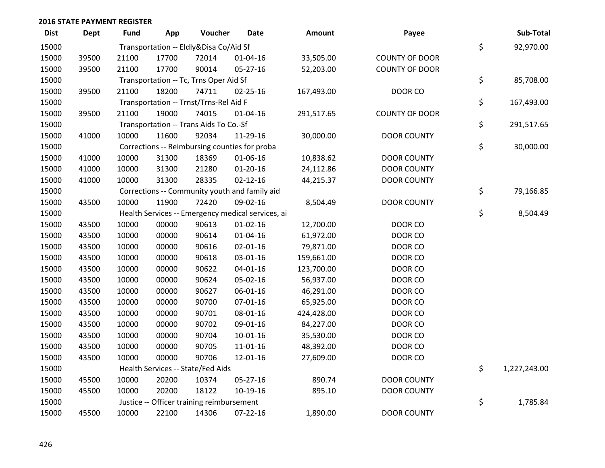| <b>Dist</b> | <b>Dept</b> | <b>Fund</b> | App   | Voucher                                   | <b>Date</b>                                       | <b>Amount</b> | Payee                 | Sub-Total          |
|-------------|-------------|-------------|-------|-------------------------------------------|---------------------------------------------------|---------------|-----------------------|--------------------|
| 15000       |             |             |       | Transportation -- Eldly&Disa Co/Aid Sf    |                                                   |               |                       | \$<br>92,970.00    |
| 15000       | 39500       | 21100       | 17700 | 72014                                     | 01-04-16                                          | 33,505.00     | <b>COUNTY OF DOOR</b> |                    |
| 15000       | 39500       | 21100       | 17700 | 90014                                     | $05-27-16$                                        | 52,203.00     | <b>COUNTY OF DOOR</b> |                    |
| 15000       |             |             |       | Transportation -- Tc, Trns Oper Aid Sf    |                                                   |               |                       | \$<br>85,708.00    |
| 15000       | 39500       | 21100       | 18200 | 74711                                     | $02 - 25 - 16$                                    | 167,493.00    | DOOR CO               |                    |
| 15000       |             |             |       | Transportation -- Trnst/Trns-Rel Aid F    |                                                   |               |                       | \$<br>167,493.00   |
| 15000       | 39500       | 21100       | 19000 | 74015                                     | 01-04-16                                          | 291,517.65    | <b>COUNTY OF DOOR</b> |                    |
| 15000       |             |             |       | Transportation -- Trans Aids To Co.-Sf    |                                                   |               |                       | \$<br>291,517.65   |
| 15000       | 41000       | 10000       | 11600 | 92034                                     | 11-29-16                                          | 30,000.00     | <b>DOOR COUNTY</b>    |                    |
| 15000       |             |             |       |                                           | Corrections -- Reimbursing counties for proba     |               |                       | \$<br>30,000.00    |
| 15000       | 41000       | 10000       | 31300 | 18369                                     | 01-06-16                                          | 10,838.62     | <b>DOOR COUNTY</b>    |                    |
| 15000       | 41000       | 10000       | 31300 | 21280                                     | $01 - 20 - 16$                                    | 24,112.86     | <b>DOOR COUNTY</b>    |                    |
| 15000       | 41000       | 10000       | 31300 | 28335                                     | $02 - 12 - 16$                                    | 44,215.37     | <b>DOOR COUNTY</b>    |                    |
| 15000       |             |             |       |                                           | Corrections -- Community youth and family aid     |               |                       | \$<br>79,166.85    |
| 15000       | 43500       | 10000       | 11900 | 72420                                     | 09-02-16                                          | 8,504.49      | <b>DOOR COUNTY</b>    |                    |
| 15000       |             |             |       |                                           | Health Services -- Emergency medical services, ai |               |                       | \$<br>8,504.49     |
| 15000       | 43500       | 10000       | 00000 | 90613                                     | $01 - 02 - 16$                                    | 12,700.00     | DOOR CO               |                    |
| 15000       | 43500       | 10000       | 00000 | 90614                                     | 01-04-16                                          | 61,972.00     | DOOR CO               |                    |
| 15000       | 43500       | 10000       | 00000 | 90616                                     | $02 - 01 - 16$                                    | 79,871.00     | DOOR CO               |                    |
| 15000       | 43500       | 10000       | 00000 | 90618                                     | 03-01-16                                          | 159,661.00    | DOOR CO               |                    |
| 15000       | 43500       | 10000       | 00000 | 90622                                     | $04 - 01 - 16$                                    | 123,700.00    | DOOR CO               |                    |
| 15000       | 43500       | 10000       | 00000 | 90624                                     | 05-02-16                                          | 56,937.00     | DOOR CO               |                    |
| 15000       | 43500       | 10000       | 00000 | 90627                                     | 06-01-16                                          | 46,291.00     | DOOR CO               |                    |
| 15000       | 43500       | 10000       | 00000 | 90700                                     | $07 - 01 - 16$                                    | 65,925.00     | DOOR CO               |                    |
| 15000       | 43500       | 10000       | 00000 | 90701                                     | 08-01-16                                          | 424,428.00    | DOOR CO               |                    |
| 15000       | 43500       | 10000       | 00000 | 90702                                     | 09-01-16                                          | 84,227.00     | DOOR CO               |                    |
| 15000       | 43500       | 10000       | 00000 | 90704                                     | $10 - 01 - 16$                                    | 35,530.00     | DOOR CO               |                    |
| 15000       | 43500       | 10000       | 00000 | 90705                                     | $11 - 01 - 16$                                    | 48,392.00     | DOOR CO               |                    |
| 15000       | 43500       | 10000       | 00000 | 90706                                     | 12-01-16                                          | 27,609.00     | DOOR CO               |                    |
| 15000       |             |             |       | Health Services -- State/Fed Aids         |                                                   |               |                       | \$<br>1,227,243.00 |
| 15000       | 45500       | 10000       | 20200 | 10374                                     | 05-27-16                                          | 890.74        | <b>DOOR COUNTY</b>    |                    |
| 15000       | 45500       | 10000       | 20200 | 18122                                     | 10-19-16                                          | 895.10        | <b>DOOR COUNTY</b>    |                    |
| 15000       |             |             |       | Justice -- Officer training reimbursement |                                                   |               |                       | \$<br>1,785.84     |
| 15000       | 45500       | 10000       | 22100 | 14306                                     | 07-22-16                                          | 1,890.00      | <b>DOOR COUNTY</b>    |                    |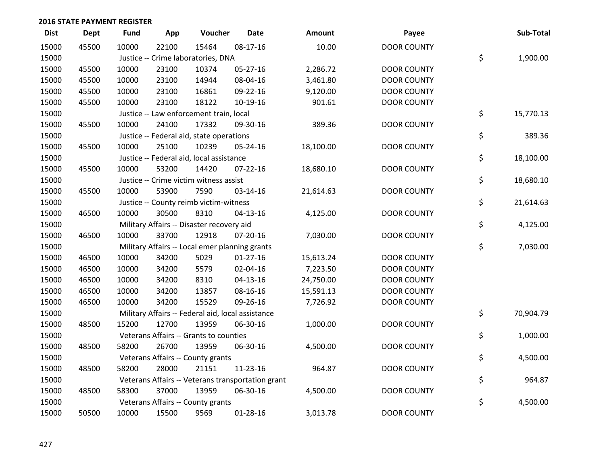| <b>Dist</b> | <b>Dept</b> | <b>Fund</b> | App   | Voucher                                           | <b>Date</b>                                       | Amount    | Payee              | Sub-Total       |
|-------------|-------------|-------------|-------|---------------------------------------------------|---------------------------------------------------|-----------|--------------------|-----------------|
| 15000       | 45500       | 10000       | 22100 | 15464                                             | 08-17-16                                          | 10.00     | <b>DOOR COUNTY</b> |                 |
| 15000       |             |             |       | Justice -- Crime laboratories, DNA                |                                                   |           |                    | \$<br>1,900.00  |
| 15000       | 45500       | 10000       | 23100 | 10374                                             | 05-27-16                                          | 2,286.72  | <b>DOOR COUNTY</b> |                 |
| 15000       | 45500       | 10000       | 23100 | 14944                                             | 08-04-16                                          | 3,461.80  | <b>DOOR COUNTY</b> |                 |
| 15000       | 45500       | 10000       | 23100 | 16861                                             | 09-22-16                                          | 9,120.00  | <b>DOOR COUNTY</b> |                 |
| 15000       | 45500       | 10000       | 23100 | 18122                                             | 10-19-16                                          | 901.61    | <b>DOOR COUNTY</b> |                 |
| 15000       |             |             |       | Justice -- Law enforcement train, local           |                                                   |           |                    | \$<br>15,770.13 |
| 15000       | 45500       | 10000       | 24100 | 17332                                             | 09-30-16                                          | 389.36    | <b>DOOR COUNTY</b> |                 |
| 15000       |             |             |       | Justice -- Federal aid, state operations          |                                                   |           |                    | \$<br>389.36    |
| 15000       | 45500       | 10000       | 25100 | 10239                                             | 05-24-16                                          | 18,100.00 | <b>DOOR COUNTY</b> |                 |
| 15000       |             |             |       | Justice -- Federal aid, local assistance          |                                                   |           |                    | \$<br>18,100.00 |
| 15000       | 45500       | 10000       | 53200 | 14420                                             | $07 - 22 - 16$                                    | 18,680.10 | <b>DOOR COUNTY</b> |                 |
| 15000       |             |             |       | Justice -- Crime victim witness assist            |                                                   |           |                    | \$<br>18,680.10 |
| 15000       | 45500       | 10000       | 53900 | 7590                                              | 03-14-16                                          | 21,614.63 | <b>DOOR COUNTY</b> |                 |
| 15000       |             |             |       | Justice -- County reimb victim-witness            |                                                   |           |                    | \$<br>21,614.63 |
| 15000       | 46500       | 10000       | 30500 | 8310                                              | $04-13-16$                                        | 4,125.00  | <b>DOOR COUNTY</b> |                 |
| 15000       |             |             |       | Military Affairs -- Disaster recovery aid         |                                                   |           |                    | \$<br>4,125.00  |
| 15000       | 46500       | 10000       | 33700 | 12918                                             | 07-20-16                                          | 7,030.00  | <b>DOOR COUNTY</b> |                 |
| 15000       |             |             |       | Military Affairs -- Local emer planning grants    |                                                   |           |                    | \$<br>7,030.00  |
| 15000       | 46500       | 10000       | 34200 | 5029                                              | $01-27-16$                                        | 15,613.24 | <b>DOOR COUNTY</b> |                 |
| 15000       | 46500       | 10000       | 34200 | 5579                                              | 02-04-16                                          | 7,223.50  | <b>DOOR COUNTY</b> |                 |
| 15000       | 46500       | 10000       | 34200 | 8310                                              | $04-13-16$                                        | 24,750.00 | <b>DOOR COUNTY</b> |                 |
| 15000       | 46500       | 10000       | 34200 | 13857                                             | 08-16-16                                          | 15,591.13 | <b>DOOR COUNTY</b> |                 |
| 15000       | 46500       | 10000       | 34200 | 15529                                             | 09-26-16                                          | 7,726.92  | <b>DOOR COUNTY</b> |                 |
| 15000       |             |             |       | Military Affairs -- Federal aid, local assistance |                                                   |           |                    | \$<br>70,904.79 |
| 15000       | 48500       | 15200       | 12700 | 13959                                             | 06-30-16                                          | 1,000.00  | <b>DOOR COUNTY</b> |                 |
| 15000       |             |             |       | Veterans Affairs -- Grants to counties            |                                                   |           |                    | \$<br>1,000.00  |
| 15000       | 48500       | 58200       | 26700 | 13959                                             | 06-30-16                                          | 4,500.00  | <b>DOOR COUNTY</b> |                 |
| 15000       |             |             |       | Veterans Affairs -- County grants                 |                                                   |           |                    | \$<br>4,500.00  |
| 15000       | 48500       | 58200       | 28000 | 21151                                             | 11-23-16                                          | 964.87    | <b>DOOR COUNTY</b> |                 |
| 15000       |             |             |       |                                                   | Veterans Affairs -- Veterans transportation grant |           |                    | \$<br>964.87    |
| 15000       | 48500       | 58300       | 37000 | 13959                                             | 06-30-16                                          | 4,500.00  | <b>DOOR COUNTY</b> |                 |
| 15000       |             |             |       | Veterans Affairs -- County grants                 |                                                   |           |                    | \$<br>4,500.00  |
| 15000       | 50500       | 10000       | 15500 | 9569                                              | 01-28-16                                          | 3,013.78  | <b>DOOR COUNTY</b> |                 |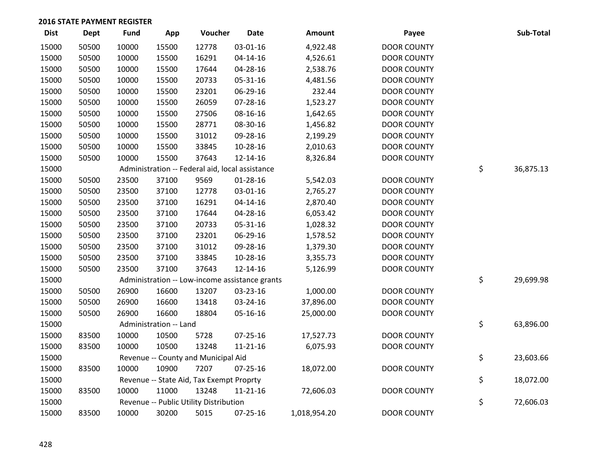| <b>Dist</b> | <b>Dept</b> | <b>Fund</b> | App                    | Voucher                                         | <b>Date</b>    | Amount       | Payee              | Sub-Total       |
|-------------|-------------|-------------|------------------------|-------------------------------------------------|----------------|--------------|--------------------|-----------------|
| 15000       | 50500       | 10000       | 15500                  | 12778                                           | 03-01-16       | 4,922.48     | <b>DOOR COUNTY</b> |                 |
| 15000       | 50500       | 10000       | 15500                  | 16291                                           | $04 - 14 - 16$ | 4,526.61     | <b>DOOR COUNTY</b> |                 |
| 15000       | 50500       | 10000       | 15500                  | 17644                                           | 04-28-16       | 2,538.76     | <b>DOOR COUNTY</b> |                 |
| 15000       | 50500       | 10000       | 15500                  | 20733                                           | 05-31-16       | 4,481.56     | <b>DOOR COUNTY</b> |                 |
| 15000       | 50500       | 10000       | 15500                  | 23201                                           | 06-29-16       | 232.44       | <b>DOOR COUNTY</b> |                 |
| 15000       | 50500       | 10000       | 15500                  | 26059                                           | 07-28-16       | 1,523.27     | <b>DOOR COUNTY</b> |                 |
| 15000       | 50500       | 10000       | 15500                  | 27506                                           | 08-16-16       | 1,642.65     | <b>DOOR COUNTY</b> |                 |
| 15000       | 50500       | 10000       | 15500                  | 28771                                           | 08-30-16       | 1,456.82     | <b>DOOR COUNTY</b> |                 |
| 15000       | 50500       | 10000       | 15500                  | 31012                                           | 09-28-16       | 2,199.29     | <b>DOOR COUNTY</b> |                 |
| 15000       | 50500       | 10000       | 15500                  | 33845                                           | 10-28-16       | 2,010.63     | <b>DOOR COUNTY</b> |                 |
| 15000       | 50500       | 10000       | 15500                  | 37643                                           | 12-14-16       | 8,326.84     | <b>DOOR COUNTY</b> |                 |
| 15000       |             |             |                        | Administration -- Federal aid, local assistance |                |              |                    | \$<br>36,875.13 |
| 15000       | 50500       | 23500       | 37100                  | 9569                                            | 01-28-16       | 5,542.03     | <b>DOOR COUNTY</b> |                 |
| 15000       | 50500       | 23500       | 37100                  | 12778                                           | 03-01-16       | 2,765.27     | <b>DOOR COUNTY</b> |                 |
| 15000       | 50500       | 23500       | 37100                  | 16291                                           | $04 - 14 - 16$ | 2,870.40     | <b>DOOR COUNTY</b> |                 |
| 15000       | 50500       | 23500       | 37100                  | 17644                                           | 04-28-16       | 6,053.42     | <b>DOOR COUNTY</b> |                 |
| 15000       | 50500       | 23500       | 37100                  | 20733                                           | 05-31-16       | 1,028.32     | <b>DOOR COUNTY</b> |                 |
| 15000       | 50500       | 23500       | 37100                  | 23201                                           | 06-29-16       | 1,578.52     | <b>DOOR COUNTY</b> |                 |
| 15000       | 50500       | 23500       | 37100                  | 31012                                           | 09-28-16       | 1,379.30     | <b>DOOR COUNTY</b> |                 |
| 15000       | 50500       | 23500       | 37100                  | 33845                                           | 10-28-16       | 3,355.73     | <b>DOOR COUNTY</b> |                 |
| 15000       | 50500       | 23500       | 37100                  | 37643                                           | 12-14-16       | 5,126.99     | <b>DOOR COUNTY</b> |                 |
| 15000       |             |             |                        | Administration -- Low-income assistance grants  |                |              |                    | \$<br>29,699.98 |
| 15000       | 50500       | 26900       | 16600                  | 13207                                           | 03-23-16       | 1,000.00     | <b>DOOR COUNTY</b> |                 |
| 15000       | 50500       | 26900       | 16600                  | 13418                                           | 03-24-16       | 37,896.00    | <b>DOOR COUNTY</b> |                 |
| 15000       | 50500       | 26900       | 16600                  | 18804                                           | 05-16-16       | 25,000.00    | <b>DOOR COUNTY</b> |                 |
| 15000       |             |             | Administration -- Land |                                                 |                |              |                    | \$<br>63,896.00 |
| 15000       | 83500       | 10000       | 10500                  | 5728                                            | 07-25-16       | 17,527.73    | <b>DOOR COUNTY</b> |                 |
| 15000       | 83500       | 10000       | 10500                  | 13248                                           | $11 - 21 - 16$ | 6,075.93     | <b>DOOR COUNTY</b> |                 |
| 15000       |             |             |                        | Revenue -- County and Municipal Aid             |                |              |                    | \$<br>23,603.66 |
| 15000       | 83500       | 10000       | 10900                  | 7207                                            | 07-25-16       | 18,072.00    | <b>DOOR COUNTY</b> |                 |
| 15000       |             |             |                        | Revenue -- State Aid, Tax Exempt Proprty        |                |              |                    | \$<br>18,072.00 |
| 15000       | 83500       | 10000       | 11000                  | 13248                                           | 11-21-16       | 72,606.03    | <b>DOOR COUNTY</b> |                 |
| 15000       |             |             |                        | Revenue -- Public Utility Distribution          |                |              |                    | \$<br>72,606.03 |
| 15000       | 83500       | 10000       | 30200                  | 5015                                            | $07 - 25 - 16$ | 1,018,954.20 | <b>DOOR COUNTY</b> |                 |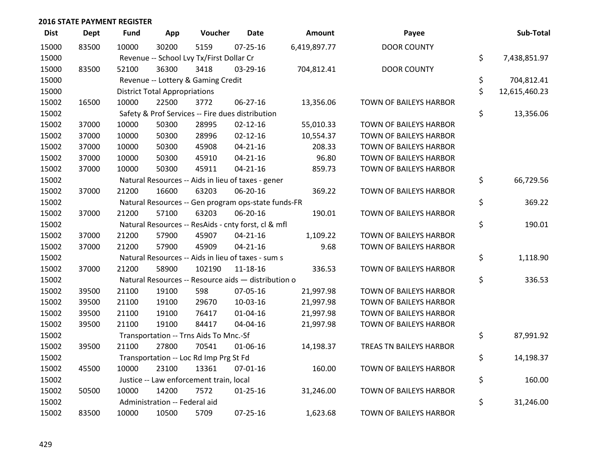| <b>Dist</b> | <b>Dept</b> | <b>Fund</b> | App                                  | Voucher                                             | <b>Date</b>    | <b>Amount</b> | Payee                         | Sub-Total           |
|-------------|-------------|-------------|--------------------------------------|-----------------------------------------------------|----------------|---------------|-------------------------------|---------------------|
| 15000       | 83500       | 10000       | 30200                                | 5159                                                | $07 - 25 - 16$ | 6,419,897.77  | <b>DOOR COUNTY</b>            |                     |
| 15000       |             |             |                                      | Revenue -- School Lvy Tx/First Dollar Cr            |                |               |                               | \$<br>7,438,851.97  |
| 15000       | 83500       | 52100       | 36300                                | 3418                                                | 03-29-16       | 704,812.41    | <b>DOOR COUNTY</b>            |                     |
| 15000       |             |             |                                      | Revenue -- Lottery & Gaming Credit                  |                |               |                               | \$<br>704,812.41    |
| 15000       |             |             | <b>District Total Appropriations</b> |                                                     |                |               |                               | \$<br>12,615,460.23 |
| 15002       | 16500       | 10000       | 22500                                | 3772                                                | 06-27-16       | 13,356.06     | <b>TOWN OF BAILEYS HARBOR</b> |                     |
| 15002       |             |             |                                      | Safety & Prof Services -- Fire dues distribution    |                |               |                               | \$<br>13,356.06     |
| 15002       | 37000       | 10000       | 50300                                | 28995                                               | $02 - 12 - 16$ | 55,010.33     | TOWN OF BAILEYS HARBOR        |                     |
| 15002       | 37000       | 10000       | 50300                                | 28996                                               | $02 - 12 - 16$ | 10,554.37     | TOWN OF BAILEYS HARBOR        |                     |
| 15002       | 37000       | 10000       | 50300                                | 45908                                               | $04 - 21 - 16$ | 208.33        | <b>TOWN OF BAILEYS HARBOR</b> |                     |
| 15002       | 37000       | 10000       | 50300                                | 45910                                               | $04 - 21 - 16$ | 96.80         | <b>TOWN OF BAILEYS HARBOR</b> |                     |
| 15002       | 37000       | 10000       | 50300                                | 45911                                               | $04 - 21 - 16$ | 859.73        | TOWN OF BAILEYS HARBOR        |                     |
| 15002       |             |             |                                      | Natural Resources -- Aids in lieu of taxes - gener  |                |               |                               | \$<br>66,729.56     |
| 15002       | 37000       | 21200       | 16600                                | 63203                                               | 06-20-16       | 369.22        | TOWN OF BAILEYS HARBOR        |                     |
| 15002       |             |             |                                      | Natural Resources -- Gen program ops-state funds-FR |                |               |                               | \$<br>369.22        |
| 15002       | 37000       | 21200       | 57100                                | 63203                                               | 06-20-16       | 190.01        | TOWN OF BAILEYS HARBOR        |                     |
| 15002       |             |             |                                      | Natural Resources -- ResAids - cnty forst, cl & mfl |                |               |                               | \$<br>190.01        |
| 15002       | 37000       | 21200       | 57900                                | 45907                                               | $04 - 21 - 16$ | 1,109.22      | TOWN OF BAILEYS HARBOR        |                     |
| 15002       | 37000       | 21200       | 57900                                | 45909                                               | $04 - 21 - 16$ | 9.68          | TOWN OF BAILEYS HARBOR        |                     |
| 15002       |             |             |                                      | Natural Resources -- Aids in lieu of taxes - sum s  |                |               |                               | \$<br>1,118.90      |
| 15002       | 37000       | 21200       | 58900                                | 102190                                              | $11 - 18 - 16$ | 336.53        | TOWN OF BAILEYS HARBOR        |                     |
| 15002       |             |             |                                      | Natural Resources -- Resource aids - distribution o |                |               |                               | \$<br>336.53        |
| 15002       | 39500       | 21100       | 19100                                | 598                                                 | 07-05-16       | 21,997.98     | TOWN OF BAILEYS HARBOR        |                     |
| 15002       | 39500       | 21100       | 19100                                | 29670                                               | 10-03-16       | 21,997.98     | TOWN OF BAILEYS HARBOR        |                     |
| 15002       | 39500       | 21100       | 19100                                | 76417                                               | $01 - 04 - 16$ | 21,997.98     | <b>TOWN OF BAILEYS HARBOR</b> |                     |
| 15002       | 39500       | 21100       | 19100                                | 84417                                               | 04-04-16       | 21,997.98     | TOWN OF BAILEYS HARBOR        |                     |
| 15002       |             |             |                                      | Transportation -- Trns Aids To Mnc.-Sf              |                |               |                               | \$<br>87,991.92     |
| 15002       | 39500       | 21100       | 27800                                | 70541                                               | 01-06-16       | 14,198.37     | TREAS TN BAILEYS HARBOR       |                     |
| 15002       |             |             |                                      | Transportation -- Loc Rd Imp Prg St Fd              |                |               |                               | \$<br>14,198.37     |
| 15002       | 45500       | 10000       | 23100                                | 13361                                               | 07-01-16       | 160.00        | TOWN OF BAILEYS HARBOR        |                     |
| 15002       |             |             |                                      | Justice -- Law enforcement train, local             |                |               |                               | \$<br>160.00        |
| 15002       | 50500       | 10000       | 14200                                | 7572                                                | $01 - 25 - 16$ | 31,246.00     | TOWN OF BAILEYS HARBOR        |                     |
| 15002       |             |             | Administration -- Federal aid        |                                                     |                |               |                               | \$<br>31,246.00     |
| 15002       | 83500       | 10000       | 10500                                | 5709                                                | 07-25-16       | 1,623.68      | TOWN OF BAILEYS HARBOR        |                     |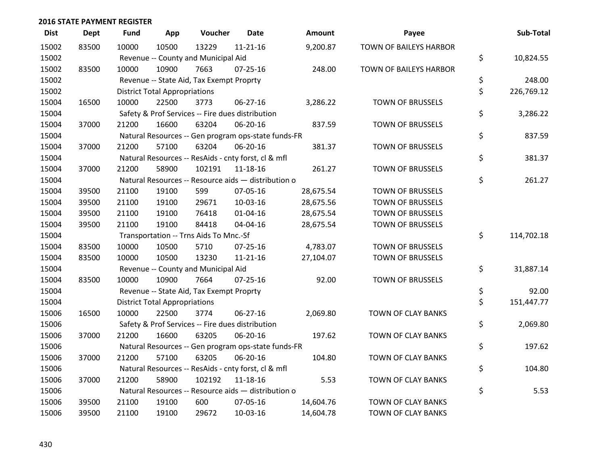| <b>Dist</b> | <b>Dept</b> | <b>Fund</b> | App                                  | Voucher                                          | <b>Date</b>                                         | <b>Amount</b> | Payee                   | Sub-Total        |
|-------------|-------------|-------------|--------------------------------------|--------------------------------------------------|-----------------------------------------------------|---------------|-------------------------|------------------|
| 15002       | 83500       | 10000       | 10500                                | 13229                                            | $11 - 21 - 16$                                      | 9,200.87      | TOWN OF BAILEYS HARBOR  |                  |
| 15002       |             |             |                                      | Revenue -- County and Municipal Aid              |                                                     |               |                         | \$<br>10,824.55  |
| 15002       | 83500       | 10000       | 10900                                | 7663                                             | $07 - 25 - 16$                                      | 248.00        | TOWN OF BAILEYS HARBOR  |                  |
| 15002       |             |             |                                      | Revenue -- State Aid, Tax Exempt Proprty         |                                                     |               |                         | \$<br>248.00     |
| 15002       |             |             | <b>District Total Appropriations</b> |                                                  |                                                     |               |                         | \$<br>226,769.12 |
| 15004       | 16500       | 10000       | 22500                                | 3773                                             | 06-27-16                                            | 3,286.22      | <b>TOWN OF BRUSSELS</b> |                  |
| 15004       |             |             |                                      |                                                  | Safety & Prof Services -- Fire dues distribution    |               |                         | \$<br>3,286.22   |
| 15004       | 37000       | 21200       | 16600                                | 63204                                            | 06-20-16                                            | 837.59        | <b>TOWN OF BRUSSELS</b> |                  |
| 15004       |             |             |                                      |                                                  | Natural Resources -- Gen program ops-state funds-FR |               |                         | \$<br>837.59     |
| 15004       | 37000       | 21200       | 57100                                | 63204                                            | 06-20-16                                            | 381.37        | <b>TOWN OF BRUSSELS</b> |                  |
| 15004       |             |             |                                      |                                                  | Natural Resources -- ResAids - cnty forst, cl & mfl |               |                         | \$<br>381.37     |
| 15004       | 37000       | 21200       | 58900                                | 102191                                           | 11-18-16                                            | 261.27        | <b>TOWN OF BRUSSELS</b> |                  |
| 15004       |             |             |                                      |                                                  | Natural Resources -- Resource aids - distribution o |               |                         | \$<br>261.27     |
| 15004       | 39500       | 21100       | 19100                                | 599                                              | 07-05-16                                            | 28,675.54     | <b>TOWN OF BRUSSELS</b> |                  |
| 15004       | 39500       | 21100       | 19100                                | 29671                                            | 10-03-16                                            | 28,675.56     | <b>TOWN OF BRUSSELS</b> |                  |
| 15004       | 39500       | 21100       | 19100                                | 76418                                            | $01 - 04 - 16$                                      | 28,675.54     | <b>TOWN OF BRUSSELS</b> |                  |
| 15004       | 39500       | 21100       | 19100                                | 84418                                            | 04-04-16                                            | 28,675.54     | <b>TOWN OF BRUSSELS</b> |                  |
| 15004       |             |             |                                      | Transportation -- Trns Aids To Mnc.-Sf           |                                                     |               |                         | \$<br>114,702.18 |
| 15004       | 83500       | 10000       | 10500                                | 5710                                             | $07 - 25 - 16$                                      | 4,783.07      | <b>TOWN OF BRUSSELS</b> |                  |
| 15004       | 83500       | 10000       | 10500                                | 13230                                            | $11 - 21 - 16$                                      | 27,104.07     | <b>TOWN OF BRUSSELS</b> |                  |
| 15004       |             |             |                                      | Revenue -- County and Municipal Aid              |                                                     |               |                         | \$<br>31,887.14  |
| 15004       | 83500       | 10000       | 10900                                | 7664                                             | $07 - 25 - 16$                                      | 92.00         | <b>TOWN OF BRUSSELS</b> |                  |
| 15004       |             |             |                                      | Revenue -- State Aid, Tax Exempt Proprty         |                                                     |               |                         | \$<br>92.00      |
| 15004       |             |             | <b>District Total Appropriations</b> |                                                  |                                                     |               |                         | \$<br>151,447.77 |
| 15006       | 16500       | 10000       | 22500                                | 3774                                             | 06-27-16                                            | 2,069.80      | TOWN OF CLAY BANKS      |                  |
| 15006       |             |             |                                      | Safety & Prof Services -- Fire dues distribution |                                                     |               |                         | \$<br>2,069.80   |
| 15006       | 37000       | 21200       | 16600                                | 63205                                            | 06-20-16                                            | 197.62        | TOWN OF CLAY BANKS      |                  |
| 15006       |             |             |                                      |                                                  | Natural Resources -- Gen program ops-state funds-FR |               |                         | \$<br>197.62     |
| 15006       | 37000       | 21200       | 57100                                | 63205                                            | 06-20-16                                            | 104.80        | TOWN OF CLAY BANKS      |                  |
| 15006       |             |             |                                      |                                                  | Natural Resources -- ResAids - cnty forst, cl & mfl |               |                         | \$<br>104.80     |
| 15006       | 37000       | 21200       | 58900                                | 102192                                           | 11-18-16                                            | 5.53          | TOWN OF CLAY BANKS      |                  |
| 15006       |             |             |                                      |                                                  | Natural Resources -- Resource aids - distribution o |               |                         | \$<br>5.53       |
| 15006       | 39500       | 21100       | 19100                                | 600                                              | 07-05-16                                            | 14,604.76     | TOWN OF CLAY BANKS      |                  |
| 15006       | 39500       | 21100       | 19100                                | 29672                                            | 10-03-16                                            | 14,604.78     | TOWN OF CLAY BANKS      |                  |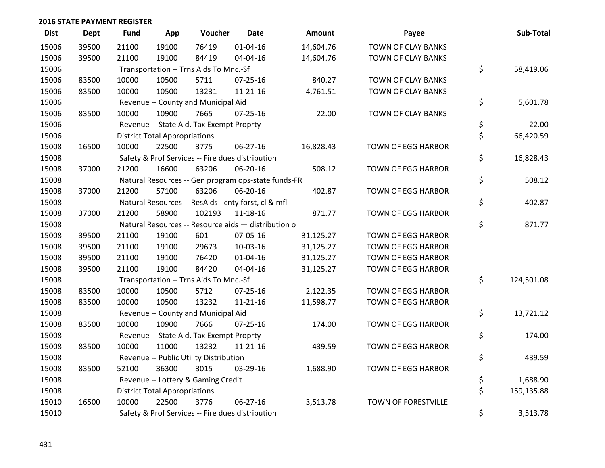| <b>Dist</b> | <b>Dept</b> | <b>Fund</b> | App                                  | Voucher                                  | Date                                                | <b>Amount</b> | Payee                     | Sub-Total        |
|-------------|-------------|-------------|--------------------------------------|------------------------------------------|-----------------------------------------------------|---------------|---------------------------|------------------|
| 15006       | 39500       | 21100       | 19100                                | 76419                                    | $01 - 04 - 16$                                      | 14,604.76     | TOWN OF CLAY BANKS        |                  |
| 15006       | 39500       | 21100       | 19100                                | 84419                                    | 04-04-16                                            | 14,604.76     | TOWN OF CLAY BANKS        |                  |
| 15006       |             |             |                                      | Transportation -- Trns Aids To Mnc.-Sf   |                                                     |               |                           | \$<br>58,419.06  |
| 15006       | 83500       | 10000       | 10500                                | 5711                                     | 07-25-16                                            | 840.27        | TOWN OF CLAY BANKS        |                  |
| 15006       | 83500       | 10000       | 10500                                | 13231                                    | $11 - 21 - 16$                                      | 4,761.51      | TOWN OF CLAY BANKS        |                  |
| 15006       |             |             |                                      | Revenue -- County and Municipal Aid      |                                                     |               |                           | \$<br>5,601.78   |
| 15006       | 83500       | 10000       | 10900                                | 7665                                     | $07 - 25 - 16$                                      | 22.00         | TOWN OF CLAY BANKS        |                  |
| 15006       |             |             |                                      | Revenue -- State Aid, Tax Exempt Proprty |                                                     |               |                           | \$<br>22.00      |
| 15006       |             |             | <b>District Total Appropriations</b> |                                          |                                                     |               |                           | \$<br>66,420.59  |
| 15008       | 16500       | 10000       | 22500                                | 3775                                     | 06-27-16                                            | 16,828.43     | TOWN OF EGG HARBOR        |                  |
| 15008       |             |             |                                      |                                          | Safety & Prof Services -- Fire dues distribution    |               |                           | \$<br>16,828.43  |
| 15008       | 37000       | 21200       | 16600                                | 63206                                    | 06-20-16                                            | 508.12        | <b>TOWN OF EGG HARBOR</b> |                  |
| 15008       |             |             |                                      |                                          | Natural Resources -- Gen program ops-state funds-FR |               |                           | \$<br>508.12     |
| 15008       | 37000       | 21200       | 57100                                | 63206                                    | 06-20-16                                            | 402.87        | TOWN OF EGG HARBOR        |                  |
| 15008       |             |             |                                      |                                          | Natural Resources -- ResAids - cnty forst, cl & mfl |               |                           | \$<br>402.87     |
| 15008       | 37000       | 21200       | 58900                                | 102193                                   | 11-18-16                                            | 871.77        | TOWN OF EGG HARBOR        |                  |
| 15008       |             |             |                                      |                                          | Natural Resources -- Resource aids - distribution o |               |                           | \$<br>871.77     |
| 15008       | 39500       | 21100       | 19100                                | 601                                      | 07-05-16                                            | 31,125.27     | TOWN OF EGG HARBOR        |                  |
| 15008       | 39500       | 21100       | 19100                                | 29673                                    | 10-03-16                                            | 31,125.27     | TOWN OF EGG HARBOR        |                  |
| 15008       | 39500       | 21100       | 19100                                | 76420                                    | 01-04-16                                            | 31,125.27     | TOWN OF EGG HARBOR        |                  |
| 15008       | 39500       | 21100       | 19100                                | 84420                                    | 04-04-16                                            | 31,125.27     | TOWN OF EGG HARBOR        |                  |
| 15008       |             |             |                                      | Transportation -- Trns Aids To Mnc.-Sf   |                                                     |               |                           | \$<br>124,501.08 |
| 15008       | 83500       | 10000       | 10500                                | 5712                                     | $07 - 25 - 16$                                      | 2,122.35      | TOWN OF EGG HARBOR        |                  |
| 15008       | 83500       | 10000       | 10500                                | 13232                                    | $11 - 21 - 16$                                      | 11,598.77     | TOWN OF EGG HARBOR        |                  |
| 15008       |             |             |                                      | Revenue -- County and Municipal Aid      |                                                     |               |                           | \$<br>13,721.12  |
| 15008       | 83500       | 10000       | 10900                                | 7666                                     | $07 - 25 - 16$                                      | 174.00        | TOWN OF EGG HARBOR        |                  |
| 15008       |             |             |                                      | Revenue -- State Aid, Tax Exempt Proprty |                                                     |               |                           | \$<br>174.00     |
| 15008       | 83500       | 10000       | 11000                                | 13232                                    | $11 - 21 - 16$                                      | 439.59        | TOWN OF EGG HARBOR        |                  |
| 15008       |             |             |                                      | Revenue -- Public Utility Distribution   |                                                     |               |                           | \$<br>439.59     |
| 15008       | 83500       | 52100       | 36300                                | 3015                                     | 03-29-16                                            | 1,688.90      | TOWN OF EGG HARBOR        |                  |
| 15008       |             |             |                                      | Revenue -- Lottery & Gaming Credit       |                                                     |               |                           | \$<br>1,688.90   |
| 15008       |             |             | <b>District Total Appropriations</b> |                                          |                                                     |               |                           | \$<br>159,135.88 |
| 15010       | 16500       | 10000       | 22500                                | 3776                                     | 06-27-16                                            | 3,513.78      | TOWN OF FORESTVILLE       |                  |
| 15010       |             |             |                                      |                                          | Safety & Prof Services -- Fire dues distribution    |               |                           | \$<br>3,513.78   |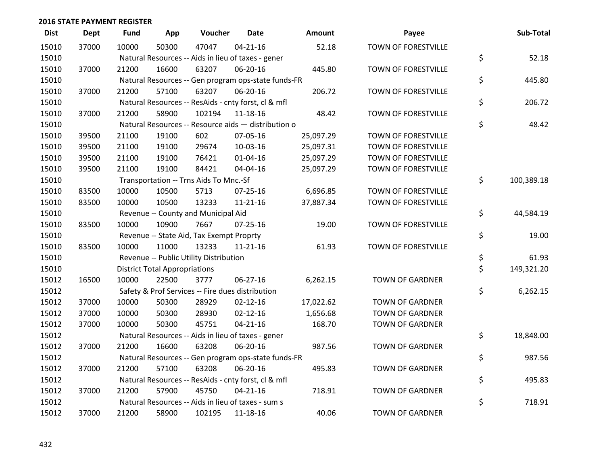| <b>Dist</b> | <b>Dept</b> | <b>Fund</b> | App                                  | Voucher                                             | <b>Date</b>    | Amount    | Payee                  | Sub-Total        |
|-------------|-------------|-------------|--------------------------------------|-----------------------------------------------------|----------------|-----------|------------------------|------------------|
| 15010       | 37000       | 10000       | 50300                                | 47047                                               | $04 - 21 - 16$ | 52.18     | TOWN OF FORESTVILLE    |                  |
| 15010       |             |             |                                      | Natural Resources -- Aids in lieu of taxes - gener  |                |           |                        | \$<br>52.18      |
| 15010       | 37000       | 21200       | 16600                                | 63207                                               | 06-20-16       | 445.80    | TOWN OF FORESTVILLE    |                  |
| 15010       |             |             |                                      | Natural Resources -- Gen program ops-state funds-FR |                |           |                        | \$<br>445.80     |
| 15010       | 37000       | 21200       | 57100                                | 63207                                               | 06-20-16       | 206.72    | TOWN OF FORESTVILLE    |                  |
| 15010       |             |             |                                      | Natural Resources -- ResAids - cnty forst, cl & mfl |                |           |                        | \$<br>206.72     |
| 15010       | 37000       | 21200       | 58900                                | 102194                                              | 11-18-16       | 48.42     | TOWN OF FORESTVILLE    |                  |
| 15010       |             |             |                                      | Natural Resources -- Resource aids - distribution o |                |           |                        | \$<br>48.42      |
| 15010       | 39500       | 21100       | 19100                                | 602                                                 | 07-05-16       | 25,097.29 | TOWN OF FORESTVILLE    |                  |
| 15010       | 39500       | 21100       | 19100                                | 29674                                               | 10-03-16       | 25,097.31 | TOWN OF FORESTVILLE    |                  |
| 15010       | 39500       | 21100       | 19100                                | 76421                                               | 01-04-16       | 25,097.29 | TOWN OF FORESTVILLE    |                  |
| 15010       | 39500       | 21100       | 19100                                | 84421                                               | 04-04-16       | 25,097.29 | TOWN OF FORESTVILLE    |                  |
| 15010       |             |             |                                      | Transportation -- Trns Aids To Mnc.-Sf              |                |           |                        | \$<br>100,389.18 |
| 15010       | 83500       | 10000       | 10500                                | 5713                                                | 07-25-16       | 6,696.85  | TOWN OF FORESTVILLE    |                  |
| 15010       | 83500       | 10000       | 10500                                | 13233                                               | $11 - 21 - 16$ | 37,887.34 | TOWN OF FORESTVILLE    |                  |
| 15010       |             |             |                                      | Revenue -- County and Municipal Aid                 |                |           |                        | \$<br>44,584.19  |
| 15010       | 83500       | 10000       | 10900                                | 7667                                                | $07 - 25 - 16$ | 19.00     | TOWN OF FORESTVILLE    |                  |
| 15010       |             |             |                                      | Revenue -- State Aid, Tax Exempt Proprty            |                |           |                        | \$<br>19.00      |
| 15010       | 83500       | 10000       | 11000                                | 13233                                               | $11 - 21 - 16$ | 61.93     | TOWN OF FORESTVILLE    |                  |
| 15010       |             |             |                                      | Revenue -- Public Utility Distribution              |                |           |                        | \$<br>61.93      |
| 15010       |             |             | <b>District Total Appropriations</b> |                                                     |                |           |                        | \$<br>149,321.20 |
| 15012       | 16500       | 10000       | 22500                                | 3777                                                | 06-27-16       | 6,262.15  | <b>TOWN OF GARDNER</b> |                  |
| 15012       |             |             |                                      | Safety & Prof Services -- Fire dues distribution    |                |           |                        | \$<br>6,262.15   |
| 15012       | 37000       | 10000       | 50300                                | 28929                                               | $02 - 12 - 16$ | 17,022.62 | <b>TOWN OF GARDNER</b> |                  |
| 15012       | 37000       | 10000       | 50300                                | 28930                                               | $02 - 12 - 16$ | 1,656.68  | <b>TOWN OF GARDNER</b> |                  |
| 15012       | 37000       | 10000       | 50300                                | 45751                                               | $04 - 21 - 16$ | 168.70    | <b>TOWN OF GARDNER</b> |                  |
| 15012       |             |             |                                      | Natural Resources -- Aids in lieu of taxes - gener  |                |           |                        | \$<br>18,848.00  |
| 15012       | 37000       | 21200       | 16600                                | 63208                                               | 06-20-16       | 987.56    | <b>TOWN OF GARDNER</b> |                  |
| 15012       |             |             |                                      | Natural Resources -- Gen program ops-state funds-FR |                |           |                        | \$<br>987.56     |
| 15012       | 37000       | 21200       | 57100                                | 63208                                               | 06-20-16       | 495.83    | <b>TOWN OF GARDNER</b> |                  |
| 15012       |             |             |                                      | Natural Resources -- ResAids - cnty forst, cl & mfl |                |           |                        | \$<br>495.83     |
| 15012       | 37000       | 21200       | 57900                                | 45750                                               | $04 - 21 - 16$ | 718.91    | <b>TOWN OF GARDNER</b> |                  |
| 15012       |             |             |                                      | Natural Resources -- Aids in lieu of taxes - sum s  |                |           |                        | \$<br>718.91     |
| 15012       | 37000       | 21200       | 58900                                | 102195                                              | 11-18-16       | 40.06     | <b>TOWN OF GARDNER</b> |                  |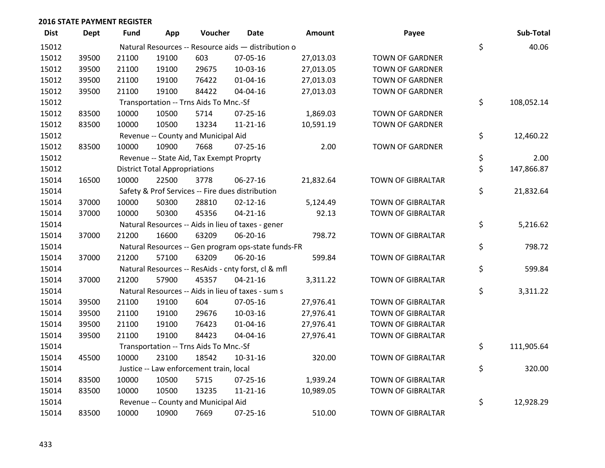| <b>Dist</b> | <b>Dept</b> | <b>Fund</b> | App                                  | Voucher                                  | Date                                                | Amount    | Payee                    | Sub-Total        |
|-------------|-------------|-------------|--------------------------------------|------------------------------------------|-----------------------------------------------------|-----------|--------------------------|------------------|
| 15012       |             |             |                                      |                                          | Natural Resources -- Resource aids - distribution o |           |                          | \$<br>40.06      |
| 15012       | 39500       | 21100       | 19100                                | 603                                      | 07-05-16                                            | 27,013.03 | <b>TOWN OF GARDNER</b>   |                  |
| 15012       | 39500       | 21100       | 19100                                | 29675                                    | 10-03-16                                            | 27,013.05 | <b>TOWN OF GARDNER</b>   |                  |
| 15012       | 39500       | 21100       | 19100                                | 76422                                    | $01 - 04 - 16$                                      | 27,013.03 | <b>TOWN OF GARDNER</b>   |                  |
| 15012       | 39500       | 21100       | 19100                                | 84422                                    | 04-04-16                                            | 27,013.03 | <b>TOWN OF GARDNER</b>   |                  |
| 15012       |             |             |                                      | Transportation -- Trns Aids To Mnc.-Sf   |                                                     |           |                          | \$<br>108,052.14 |
| 15012       | 83500       | 10000       | 10500                                | 5714                                     | $07 - 25 - 16$                                      | 1,869.03  | <b>TOWN OF GARDNER</b>   |                  |
| 15012       | 83500       | 10000       | 10500                                | 13234                                    | $11 - 21 - 16$                                      | 10,591.19 | <b>TOWN OF GARDNER</b>   |                  |
| 15012       |             |             |                                      | Revenue -- County and Municipal Aid      |                                                     |           |                          | \$<br>12,460.22  |
| 15012       | 83500       | 10000       | 10900                                | 7668                                     | $07 - 25 - 16$                                      | 2.00      | <b>TOWN OF GARDNER</b>   |                  |
| 15012       |             |             |                                      | Revenue -- State Aid, Tax Exempt Proprty |                                                     |           |                          | \$<br>2.00       |
| 15012       |             |             | <b>District Total Appropriations</b> |                                          |                                                     |           |                          | \$<br>147,866.87 |
| 15014       | 16500       | 10000       | 22500                                | 3778                                     | 06-27-16                                            | 21,832.64 | <b>TOWN OF GIBRALTAR</b> |                  |
| 15014       |             |             |                                      |                                          | Safety & Prof Services -- Fire dues distribution    |           |                          | \$<br>21,832.64  |
| 15014       | 37000       | 10000       | 50300                                | 28810                                    | $02 - 12 - 16$                                      | 5,124.49  | <b>TOWN OF GIBRALTAR</b> |                  |
| 15014       | 37000       | 10000       | 50300                                | 45356                                    | $04 - 21 - 16$                                      | 92.13     | <b>TOWN OF GIBRALTAR</b> |                  |
| 15014       |             |             |                                      |                                          | Natural Resources -- Aids in lieu of taxes - gener  |           |                          | \$<br>5,216.62   |
| 15014       | 37000       | 21200       | 16600                                | 63209                                    | 06-20-16                                            | 798.72    | <b>TOWN OF GIBRALTAR</b> |                  |
| 15014       |             |             |                                      |                                          | Natural Resources -- Gen program ops-state funds-FR |           |                          | \$<br>798.72     |
| 15014       | 37000       | 21200       | 57100                                | 63209                                    | 06-20-16                                            | 599.84    | <b>TOWN OF GIBRALTAR</b> |                  |
| 15014       |             |             |                                      |                                          | Natural Resources -- ResAids - cnty forst, cl & mfl |           |                          | \$<br>599.84     |
| 15014       | 37000       | 21200       | 57900                                | 45357                                    | $04 - 21 - 16$                                      | 3,311.22  | <b>TOWN OF GIBRALTAR</b> |                  |
| 15014       |             |             |                                      |                                          | Natural Resources -- Aids in lieu of taxes - sum s  |           |                          | \$<br>3,311.22   |
| 15014       | 39500       | 21100       | 19100                                | 604                                      | 07-05-16                                            | 27,976.41 | <b>TOWN OF GIBRALTAR</b> |                  |
| 15014       | 39500       | 21100       | 19100                                | 29676                                    | 10-03-16                                            | 27,976.41 | <b>TOWN OF GIBRALTAR</b> |                  |
| 15014       | 39500       | 21100       | 19100                                | 76423                                    | 01-04-16                                            | 27,976.41 | <b>TOWN OF GIBRALTAR</b> |                  |
| 15014       | 39500       | 21100       | 19100                                | 84423                                    | 04-04-16                                            | 27,976.41 | <b>TOWN OF GIBRALTAR</b> |                  |
| 15014       |             |             |                                      | Transportation -- Trns Aids To Mnc.-Sf   |                                                     |           |                          | \$<br>111,905.64 |
| 15014       | 45500       | 10000       | 23100                                | 18542                                    | $10-31-16$                                          | 320.00    | <b>TOWN OF GIBRALTAR</b> |                  |
| 15014       |             |             |                                      | Justice -- Law enforcement train, local  |                                                     |           |                          | \$<br>320.00     |
| 15014       | 83500       | 10000       | 10500                                | 5715                                     | 07-25-16                                            | 1,939.24  | <b>TOWN OF GIBRALTAR</b> |                  |
| 15014       | 83500       | 10000       | 10500                                | 13235                                    | $11 - 21 - 16$                                      | 10,989.05 | <b>TOWN OF GIBRALTAR</b> |                  |
| 15014       |             |             |                                      | Revenue -- County and Municipal Aid      |                                                     |           |                          | \$<br>12,928.29  |
| 15014       | 83500       | 10000       | 10900                                | 7669                                     | 07-25-16                                            | 510.00    | <b>TOWN OF GIBRALTAR</b> |                  |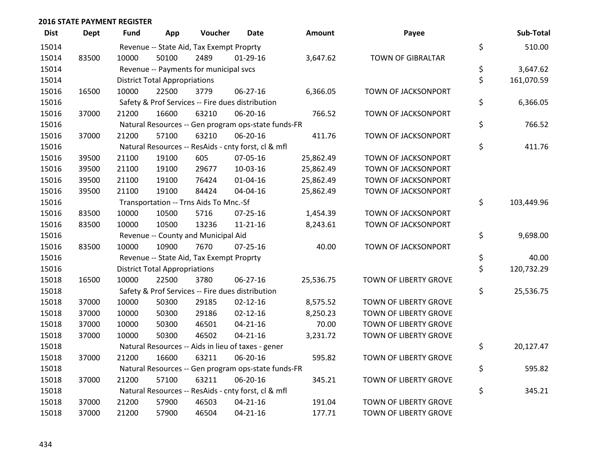| <b>Dist</b> | <b>Dept</b> | Fund  | App                                  | Voucher                                             | Date           | <b>Amount</b> | Payee                    | Sub-Total        |
|-------------|-------------|-------|--------------------------------------|-----------------------------------------------------|----------------|---------------|--------------------------|------------------|
| 15014       |             |       |                                      | Revenue -- State Aid, Tax Exempt Proprty            |                |               |                          | \$<br>510.00     |
| 15014       | 83500       | 10000 | 50100                                | 2489                                                | $01-29-16$     | 3,647.62      | <b>TOWN OF GIBRALTAR</b> |                  |
| 15014       |             |       |                                      | Revenue -- Payments for municipal svcs              |                |               |                          | \$<br>3,647.62   |
| 15014       |             |       | <b>District Total Appropriations</b> |                                                     |                |               |                          | \$<br>161,070.59 |
| 15016       | 16500       | 10000 | 22500                                | 3779                                                | 06-27-16       | 6,366.05      | TOWN OF JACKSONPORT      |                  |
| 15016       |             |       |                                      | Safety & Prof Services -- Fire dues distribution    |                |               |                          | \$<br>6,366.05   |
| 15016       | 37000       | 21200 | 16600                                | 63210                                               | 06-20-16       | 766.52        | TOWN OF JACKSONPORT      |                  |
| 15016       |             |       |                                      | Natural Resources -- Gen program ops-state funds-FR |                |               |                          | \$<br>766.52     |
| 15016       | 37000       | 21200 | 57100                                | 63210                                               | 06-20-16       | 411.76        | TOWN OF JACKSONPORT      |                  |
| 15016       |             |       |                                      | Natural Resources -- ResAids - cnty forst, cl & mfl |                |               |                          | \$<br>411.76     |
| 15016       | 39500       | 21100 | 19100                                | 605                                                 | 07-05-16       | 25,862.49     | TOWN OF JACKSONPORT      |                  |
| 15016       | 39500       | 21100 | 19100                                | 29677                                               | 10-03-16       | 25,862.49     | TOWN OF JACKSONPORT      |                  |
| 15016       | 39500       | 21100 | 19100                                | 76424                                               | 01-04-16       | 25,862.49     | TOWN OF JACKSONPORT      |                  |
| 15016       | 39500       | 21100 | 19100                                | 84424                                               | 04-04-16       | 25,862.49     | TOWN OF JACKSONPORT      |                  |
| 15016       |             |       |                                      | Transportation -- Trns Aids To Mnc.-Sf              |                |               |                          | \$<br>103,449.96 |
| 15016       | 83500       | 10000 | 10500                                | 5716                                                | $07 - 25 - 16$ | 1,454.39      | TOWN OF JACKSONPORT      |                  |
| 15016       | 83500       | 10000 | 10500                                | 13236                                               | $11 - 21 - 16$ | 8,243.61      | TOWN OF JACKSONPORT      |                  |
| 15016       |             |       |                                      | Revenue -- County and Municipal Aid                 |                |               |                          | \$<br>9,698.00   |
| 15016       | 83500       | 10000 | 10900                                | 7670                                                | $07 - 25 - 16$ | 40.00         | TOWN OF JACKSONPORT      |                  |
| 15016       |             |       |                                      | Revenue -- State Aid, Tax Exempt Proprty            |                |               |                          | \$<br>40.00      |
| 15016       |             |       | <b>District Total Appropriations</b> |                                                     |                |               |                          | \$<br>120,732.29 |
| 15018       | 16500       | 10000 | 22500                                | 3780                                                | 06-27-16       | 25,536.75     | TOWN OF LIBERTY GROVE    |                  |
| 15018       |             |       |                                      | Safety & Prof Services -- Fire dues distribution    |                |               |                          | \$<br>25,536.75  |
| 15018       | 37000       | 10000 | 50300                                | 29185                                               | $02 - 12 - 16$ | 8,575.52      | TOWN OF LIBERTY GROVE    |                  |
| 15018       | 37000       | 10000 | 50300                                | 29186                                               | $02 - 12 - 16$ | 8,250.23      | TOWN OF LIBERTY GROVE    |                  |
| 15018       | 37000       | 10000 | 50300                                | 46501                                               | $04 - 21 - 16$ | 70.00         | TOWN OF LIBERTY GROVE    |                  |
| 15018       | 37000       | 10000 | 50300                                | 46502                                               | $04 - 21 - 16$ | 3,231.72      | TOWN OF LIBERTY GROVE    |                  |
| 15018       |             |       |                                      | Natural Resources -- Aids in lieu of taxes - gener  |                |               |                          | \$<br>20,127.47  |
| 15018       | 37000       | 21200 | 16600                                | 63211                                               | 06-20-16       | 595.82        | TOWN OF LIBERTY GROVE    |                  |
| 15018       |             |       |                                      | Natural Resources -- Gen program ops-state funds-FR |                |               |                          | \$<br>595.82     |
| 15018       | 37000       | 21200 | 57100                                | 63211                                               | 06-20-16       | 345.21        | TOWN OF LIBERTY GROVE    |                  |
| 15018       |             |       |                                      | Natural Resources -- ResAids - cnty forst, cl & mfl |                |               |                          | \$<br>345.21     |
| 15018       | 37000       | 21200 | 57900                                | 46503                                               | $04 - 21 - 16$ | 191.04        | TOWN OF LIBERTY GROVE    |                  |
| 15018       | 37000       | 21200 | 57900                                | 46504                                               | $04 - 21 - 16$ | 177.71        | TOWN OF LIBERTY GROVE    |                  |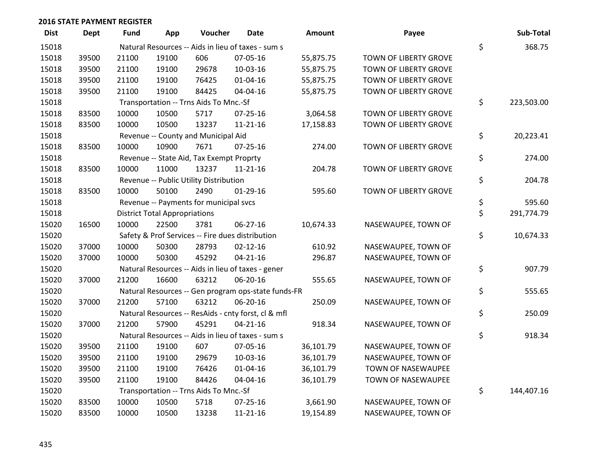| <b>Dist</b> | <b>Dept</b> | Fund  | App                                  | Voucher                                  | <b>Date</b>                                         | <b>Amount</b> | Payee                        | Sub-Total        |
|-------------|-------------|-------|--------------------------------------|------------------------------------------|-----------------------------------------------------|---------------|------------------------------|------------------|
| 15018       |             |       |                                      |                                          | Natural Resources -- Aids in lieu of taxes - sum s  |               |                              | \$<br>368.75     |
| 15018       | 39500       | 21100 | 19100                                | 606                                      | 07-05-16                                            | 55,875.75     | <b>TOWN OF LIBERTY GROVE</b> |                  |
| 15018       | 39500       | 21100 | 19100                                | 29678                                    | 10-03-16                                            | 55,875.75     | TOWN OF LIBERTY GROVE        |                  |
| 15018       | 39500       | 21100 | 19100                                | 76425                                    | $01 - 04 - 16$                                      | 55,875.75     | TOWN OF LIBERTY GROVE        |                  |
| 15018       | 39500       | 21100 | 19100                                | 84425                                    | 04-04-16                                            | 55,875.75     | TOWN OF LIBERTY GROVE        |                  |
| 15018       |             |       |                                      | Transportation -- Trns Aids To Mnc.-Sf   |                                                     |               |                              | \$<br>223,503.00 |
| 15018       | 83500       | 10000 | 10500                                | 5717                                     | $07 - 25 - 16$                                      | 3,064.58      | TOWN OF LIBERTY GROVE        |                  |
| 15018       | 83500       | 10000 | 10500                                | 13237                                    | $11 - 21 - 16$                                      | 17,158.83     | TOWN OF LIBERTY GROVE        |                  |
| 15018       |             |       |                                      | Revenue -- County and Municipal Aid      |                                                     |               |                              | \$<br>20,223.41  |
| 15018       | 83500       | 10000 | 10900                                | 7671                                     | $07 - 25 - 16$                                      | 274.00        | TOWN OF LIBERTY GROVE        |                  |
| 15018       |             |       |                                      | Revenue -- State Aid, Tax Exempt Proprty |                                                     |               |                              | \$<br>274.00     |
| 15018       | 83500       | 10000 | 11000                                | 13237                                    | $11 - 21 - 16$                                      | 204.78        | TOWN OF LIBERTY GROVE        |                  |
| 15018       |             |       |                                      | Revenue -- Public Utility Distribution   |                                                     |               |                              | \$<br>204.78     |
| 15018       | 83500       | 10000 | 50100                                | 2490                                     | $01-29-16$                                          | 595.60        | TOWN OF LIBERTY GROVE        |                  |
| 15018       |             |       |                                      | Revenue -- Payments for municipal svcs   |                                                     |               |                              | \$<br>595.60     |
| 15018       |             |       | <b>District Total Appropriations</b> |                                          |                                                     |               |                              | \$<br>291,774.79 |
| 15020       | 16500       | 10000 | 22500                                | 3781                                     | 06-27-16                                            | 10,674.33     | NASEWAUPEE, TOWN OF          |                  |
| 15020       |             |       |                                      |                                          | Safety & Prof Services -- Fire dues distribution    |               |                              | \$<br>10,674.33  |
| 15020       | 37000       | 10000 | 50300                                | 28793                                    | $02 - 12 - 16$                                      | 610.92        | NASEWAUPEE, TOWN OF          |                  |
| 15020       | 37000       | 10000 | 50300                                | 45292                                    | $04 - 21 - 16$                                      | 296.87        | NASEWAUPEE, TOWN OF          |                  |
| 15020       |             |       |                                      |                                          | Natural Resources -- Aids in lieu of taxes - gener  |               |                              | \$<br>907.79     |
| 15020       | 37000       | 21200 | 16600                                | 63212                                    | 06-20-16                                            | 555.65        | NASEWAUPEE, TOWN OF          |                  |
| 15020       |             |       |                                      |                                          | Natural Resources -- Gen program ops-state funds-FR |               |                              | \$<br>555.65     |
| 15020       | 37000       | 21200 | 57100                                | 63212                                    | 06-20-16                                            | 250.09        | NASEWAUPEE, TOWN OF          |                  |
| 15020       |             |       |                                      |                                          | Natural Resources -- ResAids - cnty forst, cl & mfl |               |                              | \$<br>250.09     |
| 15020       | 37000       | 21200 | 57900                                | 45291                                    | $04 - 21 - 16$                                      | 918.34        | NASEWAUPEE, TOWN OF          |                  |
| 15020       |             |       |                                      |                                          | Natural Resources -- Aids in lieu of taxes - sum s  |               |                              | \$<br>918.34     |
| 15020       | 39500       | 21100 | 19100                                | 607                                      | 07-05-16                                            | 36,101.79     | NASEWAUPEE, TOWN OF          |                  |
| 15020       | 39500       | 21100 | 19100                                | 29679                                    | 10-03-16                                            | 36,101.79     | NASEWAUPEE, TOWN OF          |                  |
| 15020       | 39500       | 21100 | 19100                                | 76426                                    | $01 - 04 - 16$                                      | 36,101.79     | TOWN OF NASEWAUPEE           |                  |
| 15020       | 39500       | 21100 | 19100                                | 84426                                    | 04-04-16                                            | 36,101.79     | TOWN OF NASEWAUPEE           |                  |
| 15020       |             |       |                                      | Transportation -- Trns Aids To Mnc.-Sf   |                                                     |               |                              | \$<br>144,407.16 |
| 15020       | 83500       | 10000 | 10500                                | 5718                                     | $07 - 25 - 16$                                      | 3,661.90      | NASEWAUPEE, TOWN OF          |                  |
| 15020       | 83500       | 10000 | 10500                                | 13238                                    | $11 - 21 - 16$                                      | 19,154.89     | NASEWAUPEE, TOWN OF          |                  |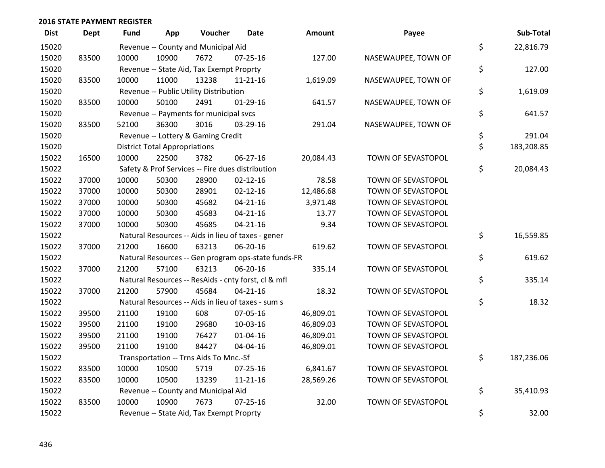| <b>Dist</b> | <b>Dept</b> | Fund  | App                                  | Voucher                                             | <b>Date</b>    | <b>Amount</b> | Payee               | Sub-Total        |
|-------------|-------------|-------|--------------------------------------|-----------------------------------------------------|----------------|---------------|---------------------|------------------|
| 15020       |             |       |                                      | Revenue -- County and Municipal Aid                 |                |               |                     | \$<br>22,816.79  |
| 15020       | 83500       | 10000 | 10900                                | 7672                                                | $07 - 25 - 16$ | 127.00        | NASEWAUPEE, TOWN OF |                  |
| 15020       |             |       |                                      | Revenue -- State Aid, Tax Exempt Proprty            |                |               |                     | \$<br>127.00     |
| 15020       | 83500       | 10000 | 11000                                | 13238                                               | $11 - 21 - 16$ | 1,619.09      | NASEWAUPEE, TOWN OF |                  |
| 15020       |             |       |                                      | Revenue -- Public Utility Distribution              |                |               |                     | \$<br>1,619.09   |
| 15020       | 83500       | 10000 | 50100                                | 2491                                                | $01-29-16$     | 641.57        | NASEWAUPEE, TOWN OF |                  |
| 15020       |             |       |                                      | Revenue -- Payments for municipal svcs              |                |               |                     | \$<br>641.57     |
| 15020       | 83500       | 52100 | 36300                                | 3016                                                | 03-29-16       | 291.04        | NASEWAUPEE, TOWN OF |                  |
| 15020       |             |       |                                      | Revenue -- Lottery & Gaming Credit                  |                |               |                     | \$<br>291.04     |
| 15020       |             |       | <b>District Total Appropriations</b> |                                                     |                |               |                     | \$<br>183,208.85 |
| 15022       | 16500       | 10000 | 22500                                | 3782                                                | 06-27-16       | 20,084.43     | TOWN OF SEVASTOPOL  |                  |
| 15022       |             |       |                                      | Safety & Prof Services -- Fire dues distribution    |                |               |                     | \$<br>20,084.43  |
| 15022       | 37000       | 10000 | 50300                                | 28900                                               | $02 - 12 - 16$ | 78.58         | TOWN OF SEVASTOPOL  |                  |
| 15022       | 37000       | 10000 | 50300                                | 28901                                               | $02 - 12 - 16$ | 12,486.68     | TOWN OF SEVASTOPOL  |                  |
| 15022       | 37000       | 10000 | 50300                                | 45682                                               | $04 - 21 - 16$ | 3,971.48      | TOWN OF SEVASTOPOL  |                  |
| 15022       | 37000       | 10000 | 50300                                | 45683                                               | $04 - 21 - 16$ | 13.77         | TOWN OF SEVASTOPOL  |                  |
| 15022       | 37000       | 10000 | 50300                                | 45685                                               | $04 - 21 - 16$ | 9.34          | TOWN OF SEVASTOPOL  |                  |
| 15022       |             |       |                                      | Natural Resources -- Aids in lieu of taxes - gener  |                |               |                     | \$<br>16,559.85  |
| 15022       | 37000       | 21200 | 16600                                | 63213                                               | 06-20-16       | 619.62        | TOWN OF SEVASTOPOL  |                  |
| 15022       |             |       |                                      | Natural Resources -- Gen program ops-state funds-FR |                |               |                     | \$<br>619.62     |
| 15022       | 37000       | 21200 | 57100                                | 63213                                               | 06-20-16       | 335.14        | TOWN OF SEVASTOPOL  |                  |
| 15022       |             |       |                                      | Natural Resources -- ResAids - cnty forst, cl & mfl |                |               |                     | \$<br>335.14     |
| 15022       | 37000       | 21200 | 57900                                | 45684                                               | $04 - 21 - 16$ | 18.32         | TOWN OF SEVASTOPOL  |                  |
| 15022       |             |       |                                      | Natural Resources -- Aids in lieu of taxes - sum s  |                |               |                     | \$<br>18.32      |
| 15022       | 39500       | 21100 | 19100                                | 608                                                 | 07-05-16       | 46,809.01     | TOWN OF SEVASTOPOL  |                  |
| 15022       | 39500       | 21100 | 19100                                | 29680                                               | 10-03-16       | 46,809.03     | TOWN OF SEVASTOPOL  |                  |
| 15022       | 39500       | 21100 | 19100                                | 76427                                               | $01 - 04 - 16$ | 46,809.01     | TOWN OF SEVASTOPOL  |                  |
| 15022       | 39500       | 21100 | 19100                                | 84427                                               | 04-04-16       | 46,809.01     | TOWN OF SEVASTOPOL  |                  |
| 15022       |             |       |                                      | Transportation -- Trns Aids To Mnc.-Sf              |                |               |                     | \$<br>187,236.06 |
| 15022       | 83500       | 10000 | 10500                                | 5719                                                | $07 - 25 - 16$ | 6,841.67      | TOWN OF SEVASTOPOL  |                  |
| 15022       | 83500       | 10000 | 10500                                | 13239                                               | $11 - 21 - 16$ | 28,569.26     | TOWN OF SEVASTOPOL  |                  |
| 15022       |             |       |                                      | Revenue -- County and Municipal Aid                 |                |               |                     | \$<br>35,410.93  |
| 15022       | 83500       | 10000 | 10900                                | 7673                                                | $07 - 25 - 16$ | 32.00         | TOWN OF SEVASTOPOL  |                  |
| 15022       |             |       |                                      | Revenue -- State Aid, Tax Exempt Proprty            |                |               |                     | \$<br>32.00      |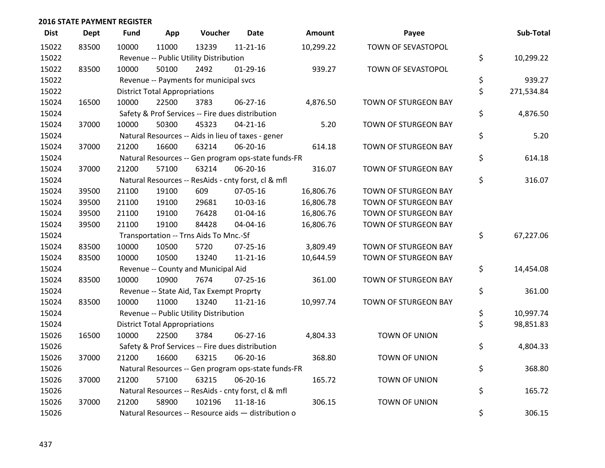| <b>Dist</b> | <b>Dept</b> | <b>Fund</b> | App                                  | Voucher                                             | <b>Date</b>    | <b>Amount</b> | Payee                | Sub-Total        |
|-------------|-------------|-------------|--------------------------------------|-----------------------------------------------------|----------------|---------------|----------------------|------------------|
| 15022       | 83500       | 10000       | 11000                                | 13239                                               | $11 - 21 - 16$ | 10,299.22     | TOWN OF SEVASTOPOL   |                  |
| 15022       |             |             |                                      | Revenue -- Public Utility Distribution              |                |               |                      | \$<br>10,299.22  |
| 15022       | 83500       | 10000       | 50100                                | 2492                                                | $01-29-16$     | 939.27        | TOWN OF SEVASTOPOL   |                  |
| 15022       |             |             |                                      | Revenue -- Payments for municipal svcs              |                |               |                      | \$<br>939.27     |
| 15022       |             |             | <b>District Total Appropriations</b> |                                                     |                |               |                      | \$<br>271,534.84 |
| 15024       | 16500       | 10000       | 22500                                | 3783                                                | 06-27-16       | 4,876.50      | TOWN OF STURGEON BAY |                  |
| 15024       |             |             |                                      | Safety & Prof Services -- Fire dues distribution    |                |               |                      | \$<br>4,876.50   |
| 15024       | 37000       | 10000       | 50300                                | 45323                                               | $04 - 21 - 16$ | 5.20          | TOWN OF STURGEON BAY |                  |
| 15024       |             |             |                                      | Natural Resources -- Aids in lieu of taxes - gener  |                |               |                      | \$<br>5.20       |
| 15024       | 37000       | 21200       | 16600                                | 63214                                               | 06-20-16       | 614.18        | TOWN OF STURGEON BAY |                  |
| 15024       |             |             |                                      | Natural Resources -- Gen program ops-state funds-FR |                |               |                      | \$<br>614.18     |
| 15024       | 37000       | 21200       | 57100                                | 63214                                               | 06-20-16       | 316.07        | TOWN OF STURGEON BAY |                  |
| 15024       |             |             |                                      | Natural Resources -- ResAids - cnty forst, cl & mfl |                |               |                      | \$<br>316.07     |
| 15024       | 39500       | 21100       | 19100                                | 609                                                 | 07-05-16       | 16,806.76     | TOWN OF STURGEON BAY |                  |
| 15024       | 39500       | 21100       | 19100                                | 29681                                               | 10-03-16       | 16,806.78     | TOWN OF STURGEON BAY |                  |
| 15024       | 39500       | 21100       | 19100                                | 76428                                               | $01 - 04 - 16$ | 16,806.76     | TOWN OF STURGEON BAY |                  |
| 15024       | 39500       | 21100       | 19100                                | 84428                                               | 04-04-16       | 16,806.76     | TOWN OF STURGEON BAY |                  |
| 15024       |             |             |                                      | Transportation -- Trns Aids To Mnc.-Sf              |                |               |                      | \$<br>67,227.06  |
| 15024       | 83500       | 10000       | 10500                                | 5720                                                | 07-25-16       | 3,809.49      | TOWN OF STURGEON BAY |                  |
| 15024       | 83500       | 10000       | 10500                                | 13240                                               | $11 - 21 - 16$ | 10,644.59     | TOWN OF STURGEON BAY |                  |
| 15024       |             |             |                                      | Revenue -- County and Municipal Aid                 |                |               |                      | \$<br>14,454.08  |
| 15024       | 83500       | 10000       | 10900                                | 7674                                                | $07 - 25 - 16$ | 361.00        | TOWN OF STURGEON BAY |                  |
| 15024       |             |             |                                      | Revenue -- State Aid, Tax Exempt Proprty            |                |               |                      | \$<br>361.00     |
| 15024       | 83500       | 10000       | 11000                                | 13240                                               | $11 - 21 - 16$ | 10,997.74     | TOWN OF STURGEON BAY |                  |
| 15024       |             |             |                                      | Revenue -- Public Utility Distribution              |                |               |                      | \$<br>10,997.74  |
| 15024       |             |             | <b>District Total Appropriations</b> |                                                     |                |               |                      | \$<br>98,851.83  |
| 15026       | 16500       | 10000       | 22500                                | 3784                                                | 06-27-16       | 4,804.33      | TOWN OF UNION        |                  |
| 15026       |             |             |                                      | Safety & Prof Services -- Fire dues distribution    |                |               |                      | \$<br>4,804.33   |
| 15026       | 37000       | 21200       | 16600                                | 63215                                               | 06-20-16       | 368.80        | <b>TOWN OF UNION</b> |                  |
| 15026       |             |             |                                      | Natural Resources -- Gen program ops-state funds-FR |                |               |                      | \$<br>368.80     |
| 15026       | 37000       | 21200       | 57100                                | 63215                                               | 06-20-16       | 165.72        | TOWN OF UNION        |                  |
| 15026       |             |             |                                      | Natural Resources -- ResAids - cnty forst, cl & mfl |                |               |                      | \$<br>165.72     |
| 15026       | 37000       | 21200       | 58900                                | 102196                                              | 11-18-16       | 306.15        | TOWN OF UNION        |                  |
| 15026       |             |             |                                      | Natural Resources -- Resource aids - distribution o |                |               |                      | \$<br>306.15     |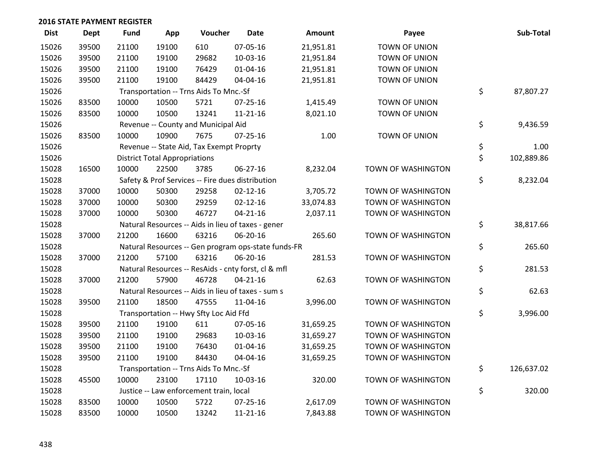| <b>Dist</b> | <b>Dept</b> | <b>Fund</b> | App                                  | Voucher                                  | <b>Date</b>                                         | Amount    | Payee              | Sub-Total        |
|-------------|-------------|-------------|--------------------------------------|------------------------------------------|-----------------------------------------------------|-----------|--------------------|------------------|
| 15026       | 39500       | 21100       | 19100                                | 610                                      | 07-05-16                                            | 21,951.81 | TOWN OF UNION      |                  |
| 15026       | 39500       | 21100       | 19100                                | 29682                                    | 10-03-16                                            | 21,951.84 | TOWN OF UNION      |                  |
| 15026       | 39500       | 21100       | 19100                                | 76429                                    | $01 - 04 - 16$                                      | 21,951.81 | TOWN OF UNION      |                  |
| 15026       | 39500       | 21100       | 19100                                | 84429                                    | 04-04-16                                            | 21,951.81 | TOWN OF UNION      |                  |
| 15026       |             |             |                                      | Transportation -- Trns Aids To Mnc.-Sf   |                                                     |           |                    | \$<br>87,807.27  |
| 15026       | 83500       | 10000       | 10500                                | 5721                                     | 07-25-16                                            | 1,415.49  | TOWN OF UNION      |                  |
| 15026       | 83500       | 10000       | 10500                                | 13241                                    | 11-21-16                                            | 8,021.10  | TOWN OF UNION      |                  |
| 15026       |             |             |                                      | Revenue -- County and Municipal Aid      |                                                     |           |                    | \$<br>9,436.59   |
| 15026       | 83500       | 10000       | 10900                                | 7675                                     | $07 - 25 - 16$                                      | 1.00      | TOWN OF UNION      |                  |
| 15026       |             |             |                                      | Revenue -- State Aid, Tax Exempt Proprty |                                                     |           |                    | \$<br>1.00       |
| 15026       |             |             | <b>District Total Appropriations</b> |                                          |                                                     |           |                    | \$<br>102,889.86 |
| 15028       | 16500       | 10000       | 22500                                | 3785                                     | 06-27-16                                            | 8,232.04  | TOWN OF WASHINGTON |                  |
| 15028       |             |             |                                      |                                          | Safety & Prof Services -- Fire dues distribution    |           |                    | \$<br>8,232.04   |
| 15028       | 37000       | 10000       | 50300                                | 29258                                    | $02 - 12 - 16$                                      | 3,705.72  | TOWN OF WASHINGTON |                  |
| 15028       | 37000       | 10000       | 50300                                | 29259                                    | $02 - 12 - 16$                                      | 33,074.83 | TOWN OF WASHINGTON |                  |
| 15028       | 37000       | 10000       | 50300                                | 46727                                    | $04 - 21 - 16$                                      | 2,037.11  | TOWN OF WASHINGTON |                  |
| 15028       |             |             |                                      |                                          | Natural Resources -- Aids in lieu of taxes - gener  |           |                    | \$<br>38,817.66  |
| 15028       | 37000       | 21200       | 16600                                | 63216                                    | 06-20-16                                            | 265.60    | TOWN OF WASHINGTON |                  |
| 15028       |             |             |                                      |                                          | Natural Resources -- Gen program ops-state funds-FR |           |                    | \$<br>265.60     |
| 15028       | 37000       | 21200       | 57100                                | 63216                                    | 06-20-16                                            | 281.53    | TOWN OF WASHINGTON |                  |
| 15028       |             |             |                                      |                                          | Natural Resources -- ResAids - cnty forst, cl & mfl |           |                    | \$<br>281.53     |
| 15028       | 37000       | 21200       | 57900                                | 46728                                    | $04 - 21 - 16$                                      | 62.63     | TOWN OF WASHINGTON |                  |
| 15028       |             |             |                                      |                                          | Natural Resources -- Aids in lieu of taxes - sum s  |           |                    | \$<br>62.63      |
| 15028       | 39500       | 21100       | 18500                                | 47555                                    | 11-04-16                                            | 3,996.00  | TOWN OF WASHINGTON |                  |
| 15028       |             |             |                                      | Transportation -- Hwy Sfty Loc Aid Ffd   |                                                     |           |                    | \$<br>3,996.00   |
| 15028       | 39500       | 21100       | 19100                                | 611                                      | 07-05-16                                            | 31,659.25 | TOWN OF WASHINGTON |                  |
| 15028       | 39500       | 21100       | 19100                                | 29683                                    | 10-03-16                                            | 31,659.27 | TOWN OF WASHINGTON |                  |
| 15028       | 39500       | 21100       | 19100                                | 76430                                    | 01-04-16                                            | 31,659.25 | TOWN OF WASHINGTON |                  |
| 15028       | 39500       | 21100       | 19100                                | 84430                                    | 04-04-16                                            | 31,659.25 | TOWN OF WASHINGTON |                  |
| 15028       |             |             |                                      | Transportation -- Trns Aids To Mnc.-Sf   |                                                     |           |                    | \$<br>126,637.02 |
| 15028       | 45500       | 10000       | 23100                                | 17110                                    | 10-03-16                                            | 320.00    | TOWN OF WASHINGTON |                  |
| 15028       |             |             |                                      | Justice -- Law enforcement train, local  |                                                     |           |                    | \$<br>320.00     |
| 15028       | 83500       | 10000       | 10500                                | 5722                                     | 07-25-16                                            | 2,617.09  | TOWN OF WASHINGTON |                  |
| 15028       | 83500       | 10000       | 10500                                | 13242                                    | $11 - 21 - 16$                                      | 7,843.88  | TOWN OF WASHINGTON |                  |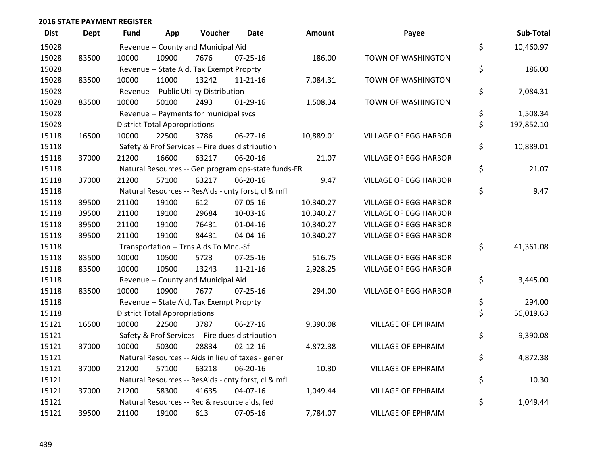| <b>Dist</b> | <b>Dept</b> | Fund  | App                                    | Voucher                                             | Date           | <b>Amount</b> | Payee                        |          | Sub-Total  |  |
|-------------|-------------|-------|----------------------------------------|-----------------------------------------------------|----------------|---------------|------------------------------|----------|------------|--|
| 15028       |             |       |                                        | Revenue -- County and Municipal Aid                 |                |               |                              | \$       | 10,460.97  |  |
| 15028       | 83500       | 10000 | 10900                                  | 7676                                                | $07 - 25 - 16$ | 186.00        | TOWN OF WASHINGTON           |          |            |  |
| 15028       |             |       |                                        | Revenue -- State Aid, Tax Exempt Proprty            |                |               |                              | \$       | 186.00     |  |
| 15028       | 83500       | 10000 | 11000                                  | 13242                                               | $11 - 21 - 16$ | 7,084.31      | TOWN OF WASHINGTON           |          |            |  |
| 15028       |             |       |                                        | Revenue -- Public Utility Distribution              |                |               |                              | \$       | 7,084.31   |  |
| 15028       | 83500       | 10000 | 50100                                  | 2493                                                | $01-29-16$     | 1,508.34      | TOWN OF WASHINGTON           |          |            |  |
| 15028       |             |       | Revenue -- Payments for municipal svcs |                                                     |                |               |                              |          |            |  |
| 15028       |             |       | <b>District Total Appropriations</b>   |                                                     |                |               |                              | \$<br>\$ | 197,852.10 |  |
| 15118       | 16500       | 10000 | 22500                                  | 3786                                                | 06-27-16       | 10,889.01     | <b>VILLAGE OF EGG HARBOR</b> |          |            |  |
| 15118       |             |       |                                        | Safety & Prof Services -- Fire dues distribution    |                |               |                              | \$       | 10,889.01  |  |
| 15118       | 37000       | 21200 | 16600                                  | 63217                                               | 06-20-16       | 21.07         | <b>VILLAGE OF EGG HARBOR</b> |          |            |  |
| 15118       |             |       |                                        | Natural Resources -- Gen program ops-state funds-FR |                |               |                              | \$       | 21.07      |  |
| 15118       | 37000       | 21200 | 57100                                  | 63217                                               | 06-20-16       | 9.47          | <b>VILLAGE OF EGG HARBOR</b> |          |            |  |
| 15118       |             |       |                                        | Natural Resources -- ResAids - cnty forst, cl & mfl |                |               |                              | \$       | 9.47       |  |
| 15118       | 39500       | 21100 | 19100                                  | 612                                                 | 07-05-16       | 10,340.27     | <b>VILLAGE OF EGG HARBOR</b> |          |            |  |
| 15118       | 39500       | 21100 | 19100                                  | 29684                                               | 10-03-16       | 10,340.27     | <b>VILLAGE OF EGG HARBOR</b> |          |            |  |
| 15118       | 39500       | 21100 | 19100                                  | 76431                                               | 01-04-16       | 10,340.27     | <b>VILLAGE OF EGG HARBOR</b> |          |            |  |
| 15118       | 39500       | 21100 | 19100                                  | 84431                                               | 04-04-16       | 10,340.27     | <b>VILLAGE OF EGG HARBOR</b> |          |            |  |
| 15118       |             |       |                                        | Transportation -- Trns Aids To Mnc.-Sf              |                |               |                              | \$       | 41,361.08  |  |
| 15118       | 83500       | 10000 | 10500                                  | 5723                                                | 07-25-16       | 516.75        | <b>VILLAGE OF EGG HARBOR</b> |          |            |  |
| 15118       | 83500       | 10000 | 10500                                  | 13243                                               | $11 - 21 - 16$ | 2,928.25      | VILLAGE OF EGG HARBOR        |          |            |  |
| 15118       |             |       |                                        | Revenue -- County and Municipal Aid                 |                |               |                              | \$       | 3,445.00   |  |
| 15118       | 83500       | 10000 | 10900                                  | 7677                                                | $07 - 25 - 16$ | 294.00        | <b>VILLAGE OF EGG HARBOR</b> |          |            |  |
| 15118       |             |       |                                        | Revenue -- State Aid, Tax Exempt Proprty            |                |               |                              | \$       | 294.00     |  |
| 15118       |             |       | <b>District Total Appropriations</b>   |                                                     |                |               |                              | \$       | 56,019.63  |  |
| 15121       | 16500       | 10000 | 22500                                  | 3787                                                | 06-27-16       | 9,390.08      | <b>VILLAGE OF EPHRAIM</b>    |          |            |  |
| 15121       |             |       |                                        | Safety & Prof Services -- Fire dues distribution    |                |               |                              | \$       | 9,390.08   |  |
| 15121       | 37000       | 10000 | 50300                                  | 28834                                               | $02 - 12 - 16$ | 4,872.38      | VILLAGE OF EPHRAIM           |          |            |  |
| 15121       |             |       |                                        | Natural Resources -- Aids in lieu of taxes - gener  |                |               |                              | \$       | 4,872.38   |  |
| 15121       | 37000       | 21200 | 57100                                  | 63218                                               | 06-20-16       | 10.30         | <b>VILLAGE OF EPHRAIM</b>    |          |            |  |
| 15121       |             |       |                                        | Natural Resources -- ResAids - cnty forst, cl & mfl |                |               |                              | \$       | 10.30      |  |
| 15121       | 37000       | 21200 | 58300                                  | 41635                                               | 04-07-16       | 1,049.44      | <b>VILLAGE OF EPHRAIM</b>    |          |            |  |
| 15121       |             |       |                                        | Natural Resources -- Rec & resource aids, fed       |                |               |                              | \$       | 1,049.44   |  |
| 15121       | 39500       | 21100 | 19100                                  | 613                                                 | 07-05-16       | 7,784.07      | <b>VILLAGE OF EPHRAIM</b>    |          |            |  |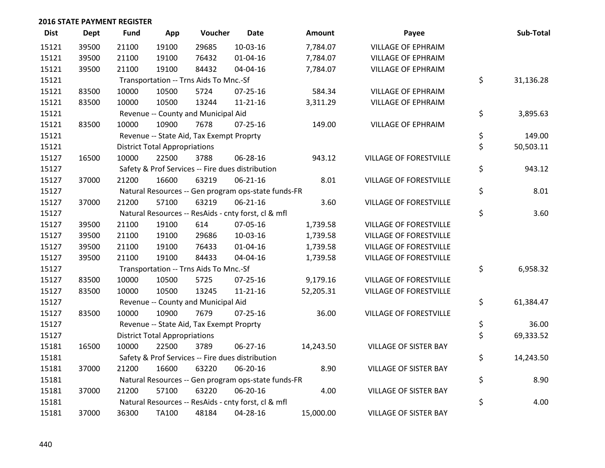| <b>Dist</b> | <b>Dept</b> | Fund  | App                                  | Voucher                                  | <b>Date</b>                                         | <b>Amount</b> | Payee                         | Sub-Total       |
|-------------|-------------|-------|--------------------------------------|------------------------------------------|-----------------------------------------------------|---------------|-------------------------------|-----------------|
| 15121       | 39500       | 21100 | 19100                                | 29685                                    | $10-03-16$                                          | 7,784.07      | <b>VILLAGE OF EPHRAIM</b>     |                 |
| 15121       | 39500       | 21100 | 19100                                | 76432                                    | 01-04-16                                            | 7,784.07      | <b>VILLAGE OF EPHRAIM</b>     |                 |
| 15121       | 39500       | 21100 | 19100                                | 84432                                    | 04-04-16                                            | 7,784.07      | VILLAGE OF EPHRAIM            |                 |
| 15121       |             |       |                                      | Transportation -- Trns Aids To Mnc.-Sf   |                                                     |               |                               | \$<br>31,136.28 |
| 15121       | 83500       | 10000 | 10500                                | 5724                                     | $07 - 25 - 16$                                      | 584.34        | <b>VILLAGE OF EPHRAIM</b>     |                 |
| 15121       | 83500       | 10000 | 10500                                | 13244                                    | $11 - 21 - 16$                                      | 3,311.29      | <b>VILLAGE OF EPHRAIM</b>     |                 |
| 15121       |             |       |                                      | Revenue -- County and Municipal Aid      |                                                     |               |                               | \$<br>3,895.63  |
| 15121       | 83500       | 10000 | 10900                                | 7678                                     | $07 - 25 - 16$                                      | 149.00        | <b>VILLAGE OF EPHRAIM</b>     |                 |
| 15121       |             |       |                                      | Revenue -- State Aid, Tax Exempt Proprty |                                                     |               |                               | \$<br>149.00    |
| 15121       |             |       | <b>District Total Appropriations</b> |                                          |                                                     |               |                               | \$<br>50,503.11 |
| 15127       | 16500       | 10000 | 22500                                | 3788                                     | 06-28-16                                            | 943.12        | VILLAGE OF FORESTVILLE        |                 |
| 15127       |             |       |                                      |                                          | Safety & Prof Services -- Fire dues distribution    |               |                               | \$<br>943.12    |
| 15127       | 37000       | 21200 | 16600                                | 63219                                    | $06 - 21 - 16$                                      | 8.01          | VILLAGE OF FORESTVILLE        |                 |
| 15127       |             |       |                                      |                                          | Natural Resources -- Gen program ops-state funds-FR |               |                               | \$<br>8.01      |
| 15127       | 37000       | 21200 | 57100                                | 63219                                    | $06 - 21 - 16$                                      | 3.60          | VILLAGE OF FORESTVILLE        |                 |
| 15127       |             |       |                                      |                                          | Natural Resources -- ResAids - cnty forst, cl & mfl |               |                               | \$<br>3.60      |
| 15127       | 39500       | 21100 | 19100                                | 614                                      | 07-05-16                                            | 1,739.58      | <b>VILLAGE OF FORESTVILLE</b> |                 |
| 15127       | 39500       | 21100 | 19100                                | 29686                                    | 10-03-16                                            | 1,739.58      | VILLAGE OF FORESTVILLE        |                 |
| 15127       | 39500       | 21100 | 19100                                | 76433                                    | 01-04-16                                            | 1,739.58      | VILLAGE OF FORESTVILLE        |                 |
| 15127       | 39500       | 21100 | 19100                                | 84433                                    | 04-04-16                                            | 1,739.58      | <b>VILLAGE OF FORESTVILLE</b> |                 |
| 15127       |             |       |                                      | Transportation -- Trns Aids To Mnc.-Sf   |                                                     |               |                               | \$<br>6,958.32  |
| 15127       | 83500       | 10000 | 10500                                | 5725                                     | 07-25-16                                            | 9,179.16      | VILLAGE OF FORESTVILLE        |                 |
| 15127       | 83500       | 10000 | 10500                                | 13245                                    | $11 - 21 - 16$                                      | 52,205.31     | VILLAGE OF FORESTVILLE        |                 |
| 15127       |             |       |                                      | Revenue -- County and Municipal Aid      |                                                     |               |                               | \$<br>61,384.47 |
| 15127       | 83500       | 10000 | 10900                                | 7679                                     | $07 - 25 - 16$                                      | 36.00         | <b>VILLAGE OF FORESTVILLE</b> |                 |
| 15127       |             |       |                                      | Revenue -- State Aid, Tax Exempt Proprty |                                                     |               |                               | \$<br>36.00     |
| 15127       |             |       | <b>District Total Appropriations</b> |                                          |                                                     |               |                               | \$<br>69,333.52 |
| 15181       | 16500       | 10000 | 22500                                | 3789                                     | 06-27-16                                            | 14,243.50     | <b>VILLAGE OF SISTER BAY</b>  |                 |
| 15181       |             |       |                                      |                                          | Safety & Prof Services -- Fire dues distribution    |               |                               | \$<br>14,243.50 |
| 15181       | 37000       | 21200 | 16600                                | 63220                                    | 06-20-16                                            | 8.90          | <b>VILLAGE OF SISTER BAY</b>  |                 |
| 15181       |             |       |                                      |                                          | Natural Resources -- Gen program ops-state funds-FR |               |                               | \$<br>8.90      |
| 15181       | 37000       | 21200 | 57100                                | 63220                                    | 06-20-16                                            | 4.00          | <b>VILLAGE OF SISTER BAY</b>  |                 |
| 15181       |             |       |                                      |                                          | Natural Resources -- ResAids - cnty forst, cl & mfl |               |                               | \$<br>4.00      |
| 15181       | 37000       | 36300 | TA100                                | 48184                                    | 04-28-16                                            | 15,000.00     | <b>VILLAGE OF SISTER BAY</b>  |                 |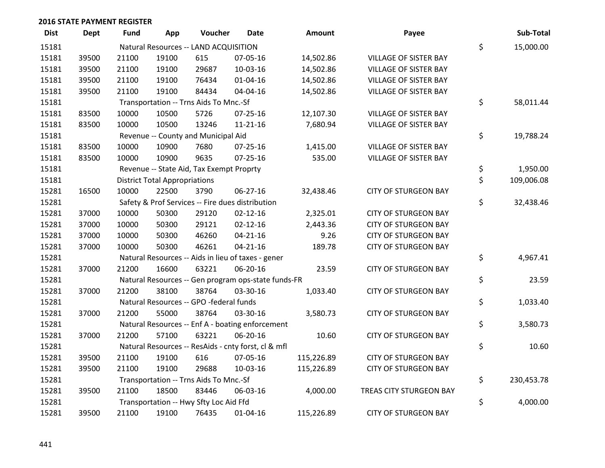| <b>Dist</b> | Dept  | <b>Fund</b> | App                                  | Voucher                                             | <b>Date</b>    | Amount     | Payee                        | Sub-Total        |
|-------------|-------|-------------|--------------------------------------|-----------------------------------------------------|----------------|------------|------------------------------|------------------|
| 15181       |       |             |                                      | Natural Resources -- LAND ACQUISITION               |                |            |                              | \$<br>15,000.00  |
| 15181       | 39500 | 21100       | 19100                                | 615                                                 | 07-05-16       | 14,502.86  | VILLAGE OF SISTER BAY        |                  |
| 15181       | 39500 | 21100       | 19100                                | 29687                                               | 10-03-16       | 14,502.86  | VILLAGE OF SISTER BAY        |                  |
| 15181       | 39500 | 21100       | 19100                                | 76434                                               | $01 - 04 - 16$ | 14,502.86  | VILLAGE OF SISTER BAY        |                  |
| 15181       | 39500 | 21100       | 19100                                | 84434                                               | 04-04-16       | 14,502.86  | VILLAGE OF SISTER BAY        |                  |
| 15181       |       |             |                                      | Transportation -- Trns Aids To Mnc.-Sf              |                |            |                              | \$<br>58,011.44  |
| 15181       | 83500 | 10000       | 10500                                | 5726                                                | $07 - 25 - 16$ | 12,107.30  | <b>VILLAGE OF SISTER BAY</b> |                  |
| 15181       | 83500 | 10000       | 10500                                | 13246                                               | $11 - 21 - 16$ | 7,680.94   | <b>VILLAGE OF SISTER BAY</b> |                  |
| 15181       |       |             |                                      | Revenue -- County and Municipal Aid                 |                |            |                              | \$<br>19,788.24  |
| 15181       | 83500 | 10000       | 10900                                | 7680                                                | $07 - 25 - 16$ | 1,415.00   | VILLAGE OF SISTER BAY        |                  |
| 15181       | 83500 | 10000       | 10900                                | 9635                                                | $07 - 25 - 16$ | 535.00     | <b>VILLAGE OF SISTER BAY</b> |                  |
| 15181       |       |             |                                      | Revenue -- State Aid, Tax Exempt Proprty            |                |            |                              | \$<br>1,950.00   |
| 15181       |       |             | <b>District Total Appropriations</b> |                                                     |                |            |                              | \$<br>109,006.08 |
| 15281       | 16500 | 10000       | 22500                                | 3790                                                | 06-27-16       | 32,438.46  | <b>CITY OF STURGEON BAY</b>  |                  |
| 15281       |       |             |                                      | Safety & Prof Services -- Fire dues distribution    |                |            |                              | \$<br>32,438.46  |
| 15281       | 37000 | 10000       | 50300                                | 29120                                               | $02 - 12 - 16$ | 2,325.01   | <b>CITY OF STURGEON BAY</b>  |                  |
| 15281       | 37000 | 10000       | 50300                                | 29121                                               | $02 - 12 - 16$ | 2,443.36   | <b>CITY OF STURGEON BAY</b>  |                  |
| 15281       | 37000 | 10000       | 50300                                | 46260                                               | $04 - 21 - 16$ | 9.26       | <b>CITY OF STURGEON BAY</b>  |                  |
| 15281       | 37000 | 10000       | 50300                                | 46261                                               | $04 - 21 - 16$ | 189.78     | <b>CITY OF STURGEON BAY</b>  |                  |
| 15281       |       |             |                                      | Natural Resources -- Aids in lieu of taxes - gener  |                |            |                              | \$<br>4,967.41   |
| 15281       | 37000 | 21200       | 16600                                | 63221                                               | 06-20-16       | 23.59      | <b>CITY OF STURGEON BAY</b>  |                  |
| 15281       |       |             |                                      | Natural Resources -- Gen program ops-state funds-FR |                |            |                              | \$<br>23.59      |
| 15281       | 37000 | 21200       | 38100                                | 38764                                               | 03-30-16       | 1,033.40   | <b>CITY OF STURGEON BAY</b>  |                  |
| 15281       |       |             |                                      | Natural Resources -- GPO -federal funds             |                |            |                              | \$<br>1,033.40   |
| 15281       | 37000 | 21200       | 55000                                | 38764                                               | 03-30-16       | 3,580.73   | <b>CITY OF STURGEON BAY</b>  |                  |
| 15281       |       |             |                                      | Natural Resources -- Enf A - boating enforcement    |                |            |                              | \$<br>3,580.73   |
| 15281       | 37000 | 21200       | 57100                                | 63221                                               | 06-20-16       | 10.60      | <b>CITY OF STURGEON BAY</b>  |                  |
| 15281       |       |             |                                      | Natural Resources -- ResAids - cnty forst, cl & mfl |                |            |                              | \$<br>10.60      |
| 15281       | 39500 | 21100       | 19100                                | 616                                                 | 07-05-16       | 115,226.89 | <b>CITY OF STURGEON BAY</b>  |                  |
| 15281       | 39500 | 21100       | 19100                                | 29688                                               | 10-03-16       | 115,226.89 | <b>CITY OF STURGEON BAY</b>  |                  |
| 15281       |       |             |                                      | Transportation -- Trns Aids To Mnc.-Sf              |                |            |                              | \$<br>230,453.78 |
| 15281       | 39500 | 21100       | 18500                                | 83446                                               | 06-03-16       | 4,000.00   | TREAS CITY STURGEON BAY      |                  |
| 15281       |       |             |                                      | Transportation -- Hwy Sfty Loc Aid Ffd              |                |            |                              | \$<br>4,000.00   |
| 15281       | 39500 | 21100       | 19100                                | 76435                                               | $01 - 04 - 16$ | 115,226.89 | <b>CITY OF STURGEON BAY</b>  |                  |